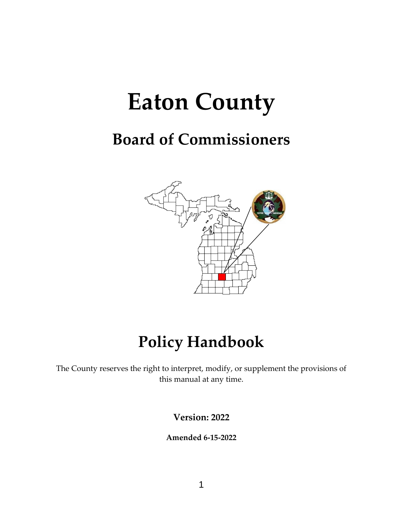# **Eaton County**

## **Board of Commissioners**



## **Policy Handbook**

The County reserves the right to interpret, modify, or supplement the provisions of this manual at any time.

**Version: 2022**

**Amended 6-15-2022**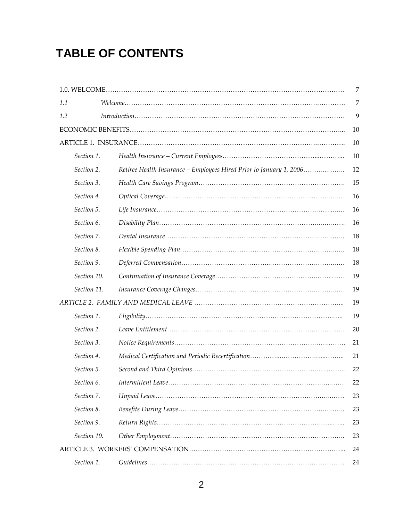## **TABLE OF CONTENTS**

|             |                                                                     | 7  |
|-------------|---------------------------------------------------------------------|----|
| 1.1         |                                                                     | 7  |
| 1.2         | $Introduction \dots 1.111$                                          | 9  |
|             |                                                                     | 10 |
|             |                                                                     | 10 |
| Section 1.  |                                                                     | 10 |
| Section 2.  | Retiree Health Insurance - Employees Hired Prior to January 1, 2006 | 12 |
| Section 3.  |                                                                     | 15 |
| Section 4.  |                                                                     | 16 |
| Section 5.  |                                                                     | 16 |
| Section 6.  |                                                                     | 16 |
| Section 7.  |                                                                     | 18 |
| Section 8.  |                                                                     | 18 |
| Section 9.  |                                                                     | 18 |
| Section 10. |                                                                     | 19 |
| Section 11. |                                                                     | 19 |
|             |                                                                     | 19 |
| Section 1.  |                                                                     | 19 |
| Section 2.  |                                                                     | 20 |
| Section 3.  |                                                                     | 21 |
| Section 4.  |                                                                     | 21 |
| Section 5.  |                                                                     | 22 |
| Section 6.  |                                                                     | 22 |
| Section 7.  |                                                                     | 23 |
| Section 8.  |                                                                     | 23 |
| Section 9.  |                                                                     | 23 |
| Section 10. |                                                                     | 23 |
|             |                                                                     | 24 |
| Section 1.  |                                                                     | 24 |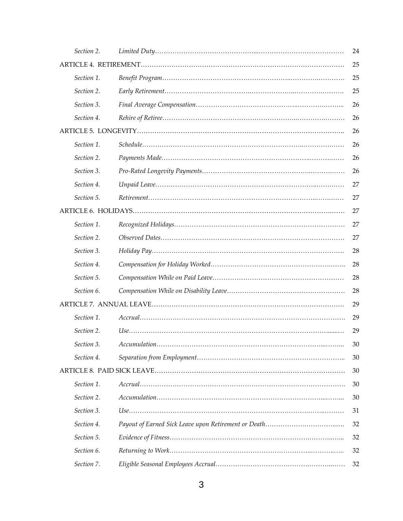| Section 2. | 24 |
|------------|----|
|            | 25 |
| Section 1. | 25 |
| Section 2. | 25 |
| Section 3. | 26 |
| Section 4. | 26 |
|            | 26 |
| Section 1. | 26 |
| Section 2. | 26 |
| Section 3. | 26 |
| Section 4. | 27 |
| Section 5. | 27 |
|            | 27 |
| Section 1. | 27 |
| Section 2. | 27 |
| Section 3. | 28 |
| Section 4. | 28 |
| Section 5. | 28 |
| Section 6. | 28 |
|            | 29 |
| Section 1. | 29 |
| Section 2. | 29 |
| Section 3. | 30 |
| Section 4. | 30 |
|            | 30 |
| Section 1. | 30 |
| Section 2. | 30 |
| Section 3. | 31 |
| Section 4. | 32 |
| Section 5. | 32 |
| Section 6. | 32 |
| Section 7. | 32 |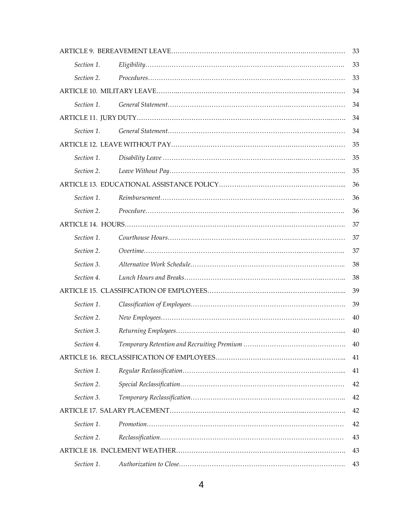|            | 33 |
|------------|----|
| Section 1. | 33 |
| Section 2. | 33 |
|            | 34 |
| Section 1. | 34 |
|            | 34 |
| Section 1. | 34 |
|            | 35 |
| Section 1. | 35 |
| Section 2. | 35 |
|            | 36 |
| Section 1. | 36 |
| Section 2. | 36 |
|            | 37 |
| Section 1. | 37 |
| Section 2. | 37 |
| Section 3. | 38 |
| Section 4. | 38 |
|            | 39 |
| Section 1. | 39 |
| Section 2. | 40 |
| Section 3. | 40 |
| Section 4. | 40 |
|            | 41 |
| Section 1. | 41 |
| Section 2. | 42 |
| Section 3. | 42 |
|            | 42 |
| Section 1. | 42 |
| Section 2. | 43 |
|            | 43 |
| Section 1. | 43 |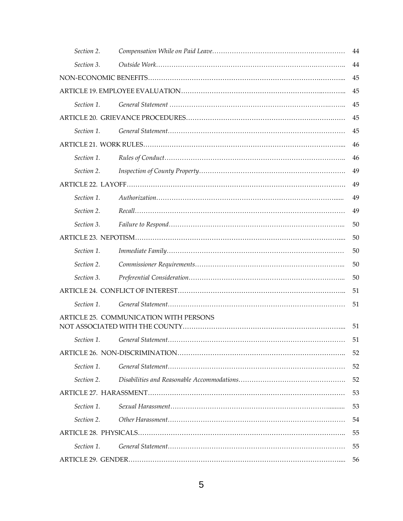| Section 2.       |                                        | 44 |
|------------------|----------------------------------------|----|
| Section 3.       |                                        | 44 |
|                  |                                        | 45 |
|                  |                                        | 45 |
| Section 1.       |                                        | 45 |
|                  |                                        | 45 |
| Section 1.       |                                        | 45 |
|                  |                                        | 46 |
| Section 1.       |                                        | 46 |
| Section 2.       |                                        | 49 |
|                  |                                        | 49 |
| Section 1.       |                                        | 49 |
| Section 2.       |                                        | 49 |
| Section 3.       |                                        | 50 |
|                  |                                        | 50 |
| Section 1.       |                                        | 50 |
| Section 2.       |                                        | 50 |
| Section 3.       |                                        | 50 |
|                  |                                        | 51 |
| Section 1.       |                                        | 51 |
|                  | ARTICLE 25. COMMUNICATION WITH PERSONS | 51 |
|                  |                                        | 51 |
|                  |                                        | 52 |
| Section 1.       |                                        | 52 |
| Section 2.       |                                        | 52 |
|                  |                                        | 53 |
| Section 1.       |                                        | 53 |
|                  |                                        |    |
| 54<br>Section 2. |                                        |    |
|                  |                                        | 55 |
| Section 1.       |                                        | 55 |
|                  |                                        | 56 |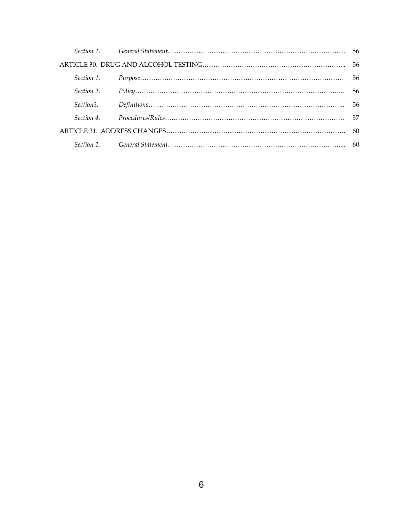| Section 2. |  |
|------------|--|
|            |  |
|            |  |
|            |  |
|            |  |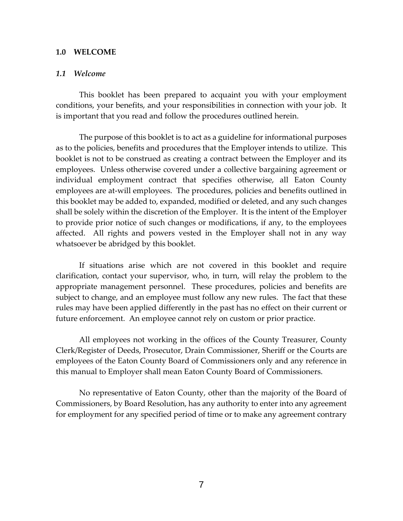### **1.0 WELCOME**

#### *1.1 Welcome*

This booklet has been prepared to acquaint you with your employment conditions, your benefits, and your responsibilities in connection with your job. It is important that you read and follow the procedures outlined herein.

The purpose of this booklet is to act as a guideline for informational purposes as to the policies, benefits and procedures that the Employer intends to utilize. This booklet is not to be construed as creating a contract between the Employer and its employees. Unless otherwise covered under a collective bargaining agreement or individual employment contract that specifies otherwise, all Eaton County employees are at-will employees. The procedures, policies and benefits outlined in this booklet may be added to, expanded, modified or deleted, and any such changes shall be solely within the discretion of the Employer. It is the intent of the Employer to provide prior notice of such changes or modifications, if any, to the employees affected. All rights and powers vested in the Employer shall not in any way whatsoever be abridged by this booklet.

If situations arise which are not covered in this booklet and require clarification, contact your supervisor, who, in turn, will relay the problem to the appropriate management personnel. These procedures, policies and benefits are subject to change, and an employee must follow any new rules. The fact that these rules may have been applied differently in the past has no effect on their current or future enforcement. An employee cannot rely on custom or prior practice.

All employees not working in the offices of the County Treasurer, County Clerk/Register of Deeds, Prosecutor, Drain Commissioner, Sheriff or the Courts are employees of the Eaton County Board of Commissioners only and any reference in this manual to Employer shall mean Eaton County Board of Commissioners.

No representative of Eaton County, other than the majority of the Board of Commissioners, by Board Resolution, has any authority to enter into any agreement for employment for any specified period of time or to make any agreement contrary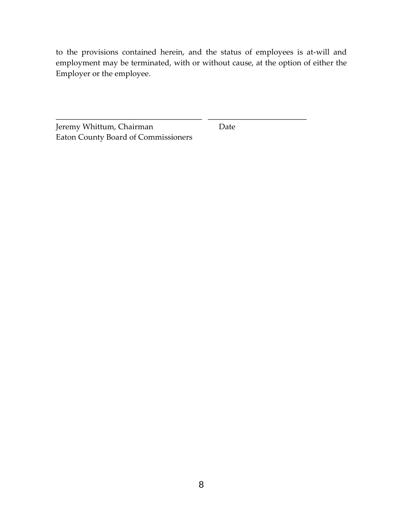to the provisions contained herein, and the status of employees is at-will and employment may be terminated, with or without cause, at the option of either the Employer or the employee.

\_\_\_\_\_\_\_\_\_\_\_\_\_\_\_\_\_\_\_\_\_\_\_\_\_\_\_\_\_\_\_\_\_\_\_\_\_ \_\_\_\_\_\_\_\_\_\_\_\_\_\_\_\_\_\_\_\_\_\_\_\_\_

Jeremy Whittum, Chairman Date Eaton County Board of Commissioners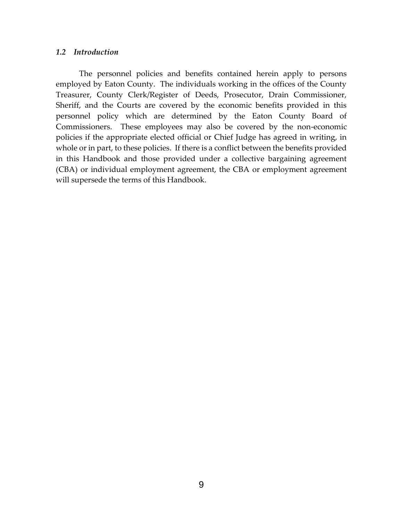## *1.2 Introduction*

The personnel policies and benefits contained herein apply to persons employed by Eaton County. The individuals working in the offices of the County Treasurer, County Clerk/Register of Deeds, Prosecutor, Drain Commissioner, Sheriff, and the Courts are covered by the economic benefits provided in this personnel policy which are determined by the Eaton County Board of Commissioners. These employees may also be covered by the non-economic policies if the appropriate elected official or Chief Judge has agreed in writing, in whole or in part, to these policies. If there is a conflict between the benefits provided in this Handbook and those provided under a collective bargaining agreement (CBA) or individual employment agreement, the CBA or employment agreement will supersede the terms of this Handbook.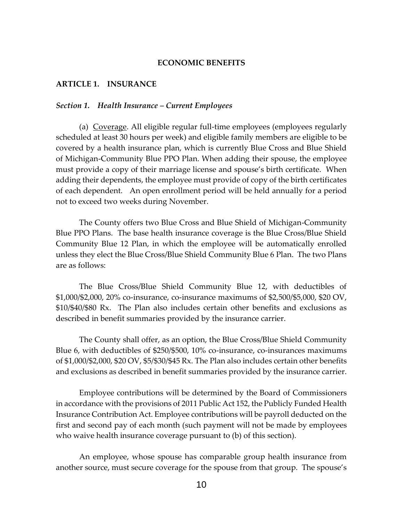## **ECONOMIC BENEFITS**

#### **ARTICLE 1. INSURANCE**

#### *Section 1. Health Insurance – Current Employees*

(a) Coverage. All eligible regular full-time employees (employees regularly scheduled at least 30 hours per week) and eligible family members are eligible to be covered by a health insurance plan, which is currently Blue Cross and Blue Shield of Michigan-Community Blue PPO Plan. When adding their spouse, the employee must provide a copy of their marriage license and spouse's birth certificate. When adding their dependents, the employee must provide of copy of the birth certificates of each dependent. An open enrollment period will be held annually for a period not to exceed two weeks during November.

The County offers two Blue Cross and Blue Shield of Michigan-Community Blue PPO Plans. The base health insurance coverage is the Blue Cross/Blue Shield Community Blue 12 Plan, in which the employee will be automatically enrolled unless they elect the Blue Cross/Blue Shield Community Blue 6 Plan. The two Plans are as follows:

The Blue Cross/Blue Shield Community Blue 12, with deductibles of \$1,000/\$2,000, 20% co-insurance, co-insurance maximums of \$2,500/\$5,000, \$20 OV, \$10/\$40/\$80 Rx. The Plan also includes certain other benefits and exclusions as described in benefit summaries provided by the insurance carrier.

The County shall offer, as an option, the Blue Cross/Blue Shield Community Blue 6, with deductibles of \$250/\$500, 10% co-insurance, co-insurances maximums of \$1,000/\$2,000, \$20 OV, \$5/\$30/\$45 Rx. The Plan also includes certain other benefits and exclusions as described in benefit summaries provided by the insurance carrier.

Employee contributions will be determined by the Board of Commissioners in accordance with the provisions of 2011 Public Act 152, the Publicly Funded Health Insurance Contribution Act. Employee contributions will be payroll deducted on the first and second pay of each month (such payment will not be made by employees who waive health insurance coverage pursuant to (b) of this section).

An employee, whose spouse has comparable group health insurance from another source, must secure coverage for the spouse from that group. The spouse's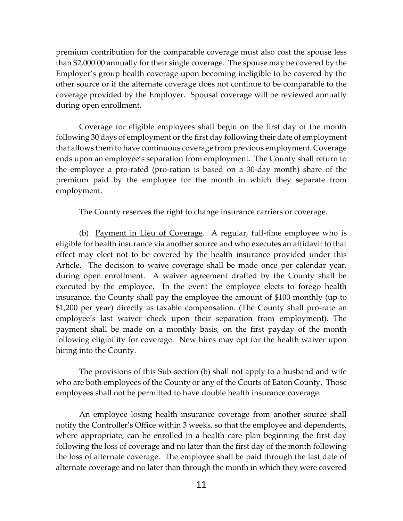premium contribution for the comparable coverage must also cost the spouse less than \$2,000.00 annually for their single coverage. The spouse may be covered by the Employer's group health coverage upon becoming ineligible to be covered by the other source or if the alternate coverage does not continue to be comparable to the coverage provided by the Employer. Spousal coverage will be reviewed annually during open enrollment.

Coverage for eligible employees shall begin on the first day of the month following 30 days of employment or the first day following their date of employment that allows them to have continuous coverage from previous employment. Coverage ends upon an employee's separation from employment. The County shall return to the employee a pro-rated (pro-ration is based on a 30-day month) share of the premium paid by the employee for the month in which they separate from employment.

The County reserves the right to change insurance carriers or coverage.

(b) Payment in Lieu of Coverage. A regular, full-time employee who is eligible for health insurance via another source and who executes an affidavit to that effect may elect not to be covered by the health insurance provided under this Article. The decision to waive coverage shall be made once per calendar year, during open enrollment. A waiver agreement drafted by the County shall be executed by the employee. In the event the employee elects to forego health insurance, the County shall pay the employee the amount of \$100 monthly (up to \$1,200 per year) directly as taxable compensation. (The County shall pro-rate an employee's last waiver check upon their separation from employment). The payment shall be made on a monthly basis, on the first payday of the month following eligibility for coverage. New hires may opt for the health waiver upon hiring into the County.

The provisions of this Sub-section (b) shall not apply to a husband and wife who are both employees of the County or any of the Courts of Eaton County. Those employees shall not be permitted to have double health insurance coverage.

An employee losing health insurance coverage from another source shall notify the Controller's Office within 3 weeks, so that the employee and dependents, where appropriate, can be enrolled in a health care plan beginning the first day following the loss of coverage and no later than the first day of the month following the loss of alternate coverage. The employee shall be paid through the last date of alternate coverage and no later than through the month in which they were covered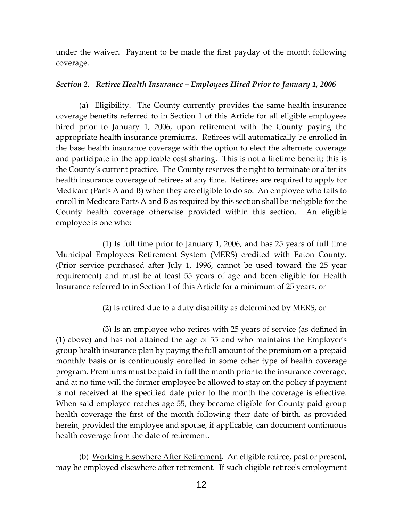under the waiver. Payment to be made the first payday of the month following coverage.

## *Section 2. Retiree Health Insurance – Employees Hired Prior to January 1, 2006*

(a) Eligibility. The County currently provides the same health insurance coverage benefits referred to in Section 1 of this Article for all eligible employees hired prior to January 1, 2006, upon retirement with the County paying the appropriate health insurance premiums. Retirees will automatically be enrolled in the base health insurance coverage with the option to elect the alternate coverage and participate in the applicable cost sharing. This is not a lifetime benefit; this is the County's current practice. The County reserves the right to terminate or alter its health insurance coverage of retirees at any time. Retirees are required to apply for Medicare (Parts A and B) when they are eligible to do so. An employee who fails to enroll in Medicare Parts A and B as required by this section shall be ineligible for the County health coverage otherwise provided within this section. An eligible employee is one who:

(1) Is full time prior to January 1, 2006, and has 25 years of full time Municipal Employees Retirement System (MERS) credited with Eaton County. (Prior service purchased after July 1, 1996, cannot be used toward the 25 year requirement) and must be at least 55 years of age and been eligible for Health Insurance referred to in Section 1 of this Article for a minimum of 25 years, or

(2) Is retired due to a duty disability as determined by MERS, or

 (3) Is an employee who retires with 25 years of service (as defined in (1) above) and has not attained the age of 55 and who maintains the Employer's group health insurance plan by paying the full amount of the premium on a prepaid monthly basis or is continuously enrolled in some other type of health coverage program. Premiums must be paid in full the month prior to the insurance coverage, and at no time will the former employee be allowed to stay on the policy if payment is not received at the specified date prior to the month the coverage is effective. When said employee reaches age 55, they become eligible for County paid group health coverage the first of the month following their date of birth, as provided herein, provided the employee and spouse, if applicable, can document continuous health coverage from the date of retirement.

(b) Working Elsewhere After Retirement. An eligible retiree, past or present, may be employed elsewhere after retirement. If such eligible retiree's employment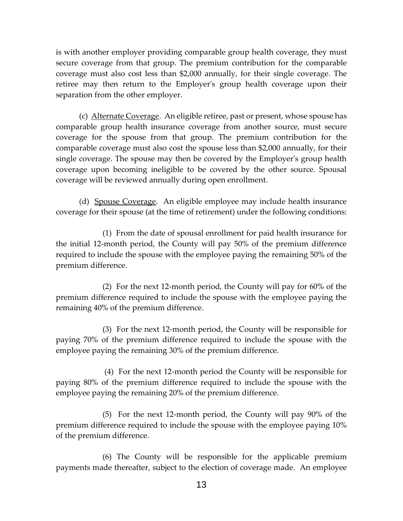is with another employer providing comparable group health coverage, they must secure coverage from that group. The premium contribution for the comparable coverage must also cost less than \$2,000 annually, for their single coverage. The retiree may then return to the Employer's group health coverage upon their separation from the other employer.

(c) Alternate Coverage. An eligible retiree, past or present, whose spouse has comparable group health insurance coverage from another source, must secure coverage for the spouse from that group. The premium contribution for the comparable coverage must also cost the spouse less than \$2,000 annually, for their single coverage. The spouse may then be covered by the Employer's group health coverage upon becoming ineligible to be covered by the other source. Spousal coverage will be reviewed annually during open enrollment.

(d) Spouse Coverage. An eligible employee may include health insurance coverage for their spouse (at the time of retirement) under the following conditions:

(1) From the date of spousal enrollment for paid health insurance for the initial 12-month period, the County will pay 50% of the premium difference required to include the spouse with the employee paying the remaining 50% of the premium difference.

 (2) For the next 12-month period, the County will pay for 60% of the premium difference required to include the spouse with the employee paying the remaining 40% of the premium difference.

(3) For the next 12-month period, the County will be responsible for paying 70% of the premium difference required to include the spouse with the employee paying the remaining 30% of the premium difference.

 (4) For the next 12-month period the County will be responsible for paying 80% of the premium difference required to include the spouse with the employee paying the remaining 20% of the premium difference.

 (5) For the next 12-month period, the County will pay 90% of the premium difference required to include the spouse with the employee paying 10% of the premium difference.

(6) The County will be responsible for the applicable premium payments made thereafter, subject to the election of coverage made. An employee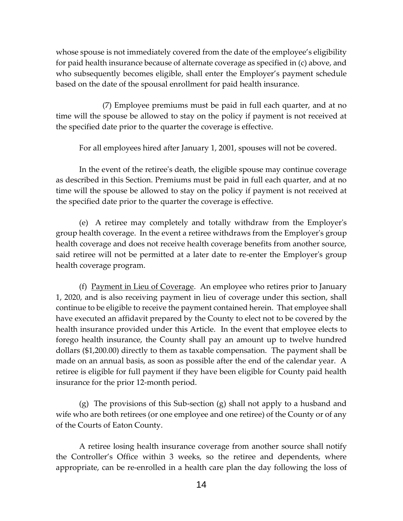whose spouse is not immediately covered from the date of the employee's eligibility for paid health insurance because of alternate coverage as specified in (c) above, and who subsequently becomes eligible, shall enter the Employer's payment schedule based on the date of the spousal enrollment for paid health insurance.

(7) Employee premiums must be paid in full each quarter, and at no time will the spouse be allowed to stay on the policy if payment is not received at the specified date prior to the quarter the coverage is effective.

For all employees hired after January 1, 2001, spouses will not be covered.

In the event of the retiree's death, the eligible spouse may continue coverage as described in this Section. Premiums must be paid in full each quarter, and at no time will the spouse be allowed to stay on the policy if payment is not received at the specified date prior to the quarter the coverage is effective.

(e) A retiree may completely and totally withdraw from the Employer's group health coverage. In the event a retiree withdraws from the Employer's group health coverage and does not receive health coverage benefits from another source, said retiree will not be permitted at a later date to re-enter the Employer's group health coverage program.

(f) Payment in Lieu of Coverage. An employee who retires prior to January 1, 2020, and is also receiving payment in lieu of coverage under this section, shall continue to be eligible to receive the payment contained herein. That employee shall have executed an affidavit prepared by the County to elect not to be covered by the health insurance provided under this Article. In the event that employee elects to forego health insurance, the County shall pay an amount up to twelve hundred dollars (\$1,200.00) directly to them as taxable compensation. The payment shall be made on an annual basis, as soon as possible after the end of the calendar year. A retiree is eligible for full payment if they have been eligible for County paid health insurance for the prior 12-month period.

(g) The provisions of this Sub-section (g) shall not apply to a husband and wife who are both retirees (or one employee and one retiree) of the County or of any of the Courts of Eaton County.

A retiree losing health insurance coverage from another source shall notify the Controller's Office within 3 weeks, so the retiree and dependents, where appropriate, can be re-enrolled in a health care plan the day following the loss of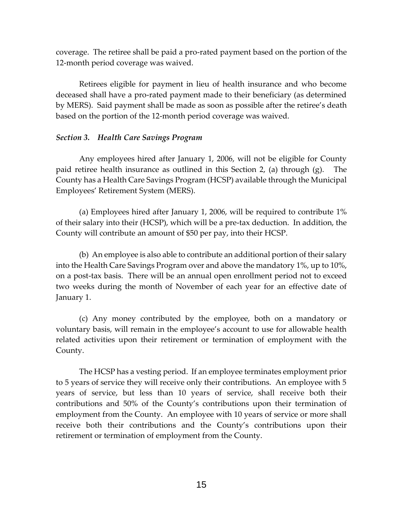coverage. The retiree shall be paid a pro-rated payment based on the portion of the 12-month period coverage was waived.

Retirees eligible for payment in lieu of health insurance and who become deceased shall have a pro-rated payment made to their beneficiary (as determined by MERS). Said payment shall be made as soon as possible after the retiree's death based on the portion of the 12-month period coverage was waived.

## *Section 3. Health Care Savings Program*

Any employees hired after January 1, 2006, will not be eligible for County paid retiree health insurance as outlined in this Section 2, (a) through (g). The County has a Health Care Savings Program (HCSP) available through the Municipal Employees' Retirement System (MERS).

(a) Employees hired after January 1, 2006, will be required to contribute 1% of their salary into their (HCSP), which will be a pre-tax deduction. In addition, the County will contribute an amount of \$50 per pay, into their HCSP.

(b) An employee is also able to contribute an additional portion of their salary into the Health Care Savings Program over and above the mandatory 1%, up to 10%, on a post-tax basis. There will be an annual open enrollment period not to exceed two weeks during the month of November of each year for an effective date of January 1.

(c) Any money contributed by the employee, both on a mandatory or voluntary basis, will remain in the employee's account to use for allowable health related activities upon their retirement or termination of employment with the County.

The HCSP has a vesting period. If an employee terminates employment prior to 5 years of service they will receive only their contributions. An employee with 5 years of service, but less than 10 years of service, shall receive both their contributions and 50% of the County's contributions upon their termination of employment from the County. An employee with 10 years of service or more shall receive both their contributions and the County's contributions upon their retirement or termination of employment from the County.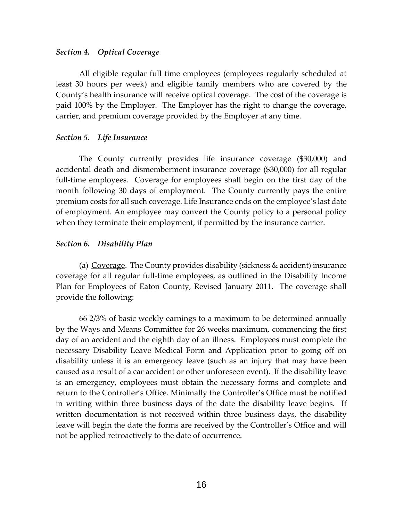## *Section 4. Optical Coverage*

All eligible regular full time employees (employees regularly scheduled at least 30 hours per week) and eligible family members who are covered by the County's health insurance will receive optical coverage. The cost of the coverage is paid 100% by the Employer. The Employer has the right to change the coverage, carrier, and premium coverage provided by the Employer at any time.

## *Section 5. Life Insurance*

The County currently provides life insurance coverage (\$30,000) and accidental death and dismemberment insurance coverage (\$30,000) for all regular full-time employees. Coverage for employees shall begin on the first day of the month following 30 days of employment. The County currently pays the entire premium costs for all such coverage. Life Insurance ends on the employee's last date of employment. An employee may convert the County policy to a personal policy when they terminate their employment, if permitted by the insurance carrier.

## *Section 6. Disability Plan*

(a) Coverage. The County provides disability (sickness & accident) insurance coverage for all regular full-time employees, as outlined in the Disability Income Plan for Employees of Eaton County, Revised January 2011. The coverage shall provide the following:

66 2/3% of basic weekly earnings to a maximum to be determined annually by the Ways and Means Committee for 26 weeks maximum, commencing the first day of an accident and the eighth day of an illness. Employees must complete the necessary Disability Leave Medical Form and Application prior to going off on disability unless it is an emergency leave (such as an injury that may have been caused as a result of a car accident or other unforeseen event). If the disability leave is an emergency, employees must obtain the necessary forms and complete and return to the Controller's Office. Minimally the Controller's Office must be notified in writing within three business days of the date the disability leave begins. If written documentation is not received within three business days, the disability leave will begin the date the forms are received by the Controller's Office and will not be applied retroactively to the date of occurrence.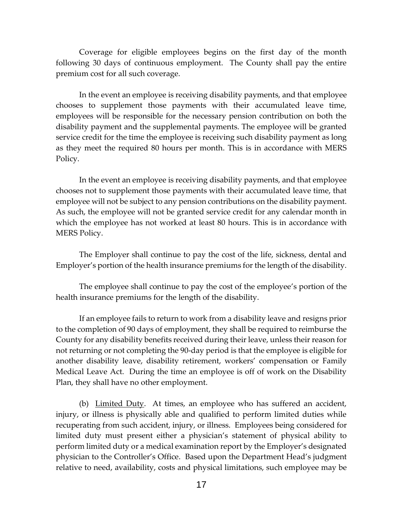Coverage for eligible employees begins on the first day of the month following 30 days of continuous employment. The County shall pay the entire premium cost for all such coverage.

In the event an employee is receiving disability payments, and that employee chooses to supplement those payments with their accumulated leave time, employees will be responsible for the necessary pension contribution on both the disability payment and the supplemental payments. The employee will be granted service credit for the time the employee is receiving such disability payment as long as they meet the required 80 hours per month. This is in accordance with MERS Policy.

In the event an employee is receiving disability payments, and that employee chooses not to supplement those payments with their accumulated leave time, that employee will not be subject to any pension contributions on the disability payment. As such, the employee will not be granted service credit for any calendar month in which the employee has not worked at least 80 hours. This is in accordance with MERS Policy.

The Employer shall continue to pay the cost of the life, sickness, dental and Employer's portion of the health insurance premiums for the length of the disability.

The employee shall continue to pay the cost of the employee's portion of the health insurance premiums for the length of the disability.

If an employee fails to return to work from a disability leave and resigns prior to the completion of 90 days of employment, they shall be required to reimburse the County for any disability benefits received during their leave, unless their reason for not returning or not completing the 90-day period is that the employee is eligible for another disability leave, disability retirement, workers' compensation or Family Medical Leave Act. During the time an employee is off of work on the Disability Plan, they shall have no other employment.

(b) Limited Duty. At times, an employee who has suffered an accident, injury, or illness is physically able and qualified to perform limited duties while recuperating from such accident, injury, or illness. Employees being considered for limited duty must present either a physician's statement of physical ability to perform limited duty or a medical examination report by the Employer's designated physician to the Controller's Office. Based upon the Department Head's judgment relative to need, availability, costs and physical limitations, such employee may be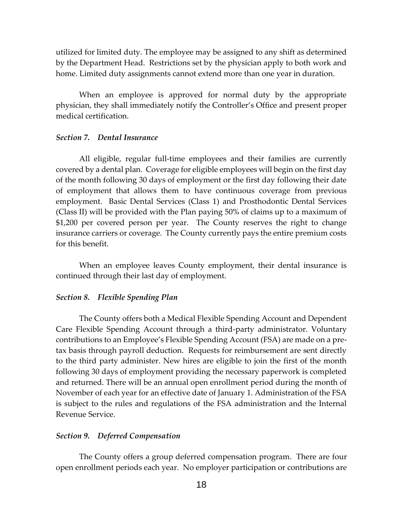utilized for limited duty. The employee may be assigned to any shift as determined by the Department Head. Restrictions set by the physician apply to both work and home. Limited duty assignments cannot extend more than one year in duration.

When an employee is approved for normal duty by the appropriate physician, they shall immediately notify the Controller's Office and present proper medical certification.

## *Section 7. Dental Insurance*

All eligible, regular full-time employees and their families are currently covered by a dental plan. Coverage for eligible employees will begin on the first day of the month following 30 days of employment or the first day following their date of employment that allows them to have continuous coverage from previous employment. Basic Dental Services (Class 1) and Prosthodontic Dental Services (Class II) will be provided with the Plan paying 50% of claims up to a maximum of \$1,200 per covered person per year. The County reserves the right to change insurance carriers or coverage. The County currently pays the entire premium costs for this benefit.

When an employee leaves County employment, their dental insurance is continued through their last day of employment.

#### *Section 8. Flexible Spending Plan*

The County offers both a Medical Flexible Spending Account and Dependent Care Flexible Spending Account through a third-party administrator. Voluntary contributions to an Employee's Flexible Spending Account (FSA) are made on a pretax basis through payroll deduction. Requests for reimbursement are sent directly to the third party administer. New hires are eligible to join the first of the month following 30 days of employment providing the necessary paperwork is completed and returned. There will be an annual open enrollment period during the month of November of each year for an effective date of January 1. Administration of the FSA is subject to the rules and regulations of the FSA administration and the Internal Revenue Service.

#### *Section 9. Deferred Compensation*

The County offers a group deferred compensation program. There are four open enrollment periods each year. No employer participation or contributions are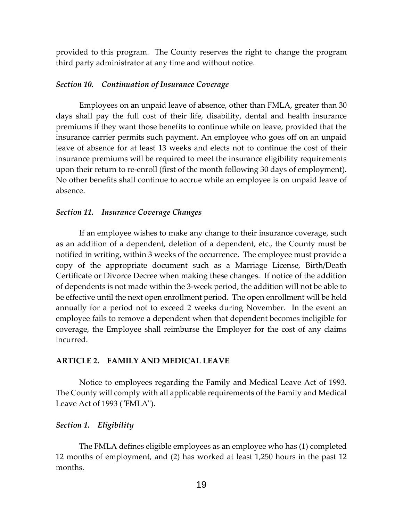provided to this program. The County reserves the right to change the program third party administrator at any time and without notice.

#### *Section 10. Continuation of Insurance Coverage*

Employees on an unpaid leave of absence, other than FMLA, greater than 30 days shall pay the full cost of their life, disability, dental and health insurance premiums if they want those benefits to continue while on leave, provided that the insurance carrier permits such payment. An employee who goes off on an unpaid leave of absence for at least 13 weeks and elects not to continue the cost of their insurance premiums will be required to meet the insurance eligibility requirements upon their return to re-enroll (first of the month following 30 days of employment). No other benefits shall continue to accrue while an employee is on unpaid leave of absence.

#### *Section 11. Insurance Coverage Changes*

If an employee wishes to make any change to their insurance coverage, such as an addition of a dependent, deletion of a dependent, etc., the County must be notified in writing, within 3 weeks of the occurrence. The employee must provide a copy of the appropriate document such as a Marriage License, Birth/Death Certificate or Divorce Decree when making these changes. If notice of the addition of dependents is not made within the 3-week period, the addition will not be able to be effective until the next open enrollment period. The open enrollment will be held annually for a period not to exceed 2 weeks during November. In the event an employee fails to remove a dependent when that dependent becomes ineligible for coverage, the Employee shall reimburse the Employer for the cost of any claims incurred.

#### **ARTICLE 2. FAMILY AND MEDICAL LEAVE**

Notice to employees regarding the Family and Medical Leave Act of 1993. The County will comply with all applicable requirements of the Family and Medical Leave Act of 1993 ("FMLA").

#### *Section 1. Eligibility*

The FMLA defines eligible employees as an employee who has (1) completed 12 months of employment, and (2) has worked at least 1,250 hours in the past 12 months.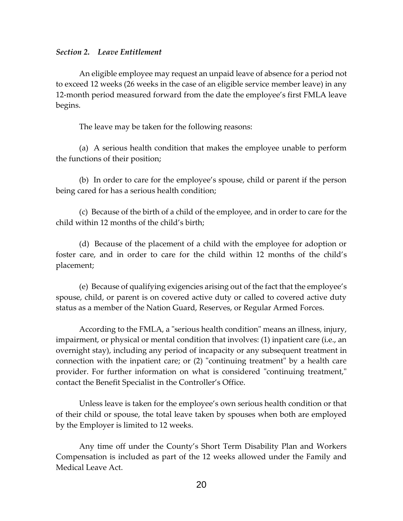## *Section 2. Leave Entitlement*

An eligible employee may request an unpaid leave of absence for a period not to exceed 12 weeks (26 weeks in the case of an eligible service member leave) in any 12-month period measured forward from the date the employee's first FMLA leave begins.

The leave may be taken for the following reasons:

(a) A serious health condition that makes the employee unable to perform the functions of their position;

(b) In order to care for the employee's spouse, child or parent if the person being cared for has a serious health condition;

(c) Because of the birth of a child of the employee, and in order to care for the child within 12 months of the child's birth;

(d) Because of the placement of a child with the employee for adoption or foster care, and in order to care for the child within 12 months of the child's placement;

(e) Because of qualifying exigencies arising out of the fact that the employee's spouse, child, or parent is on covered active duty or called to covered active duty status as a member of the Nation Guard, Reserves, or Regular Armed Forces.

According to the FMLA, a "serious health condition" means an illness, injury, impairment, or physical or mental condition that involves: (1) inpatient care (i.e., an overnight stay), including any period of incapacity or any subsequent treatment in connection with the inpatient care; or (2) "continuing treatment" by a health care provider. For further information on what is considered "continuing treatment," contact the Benefit Specialist in the Controller's Office.

Unless leave is taken for the employee's own serious health condition or that of their child or spouse, the total leave taken by spouses when both are employed by the Employer is limited to 12 weeks.

Any time off under the County's Short Term Disability Plan and Workers Compensation is included as part of the 12 weeks allowed under the Family and Medical Leave Act.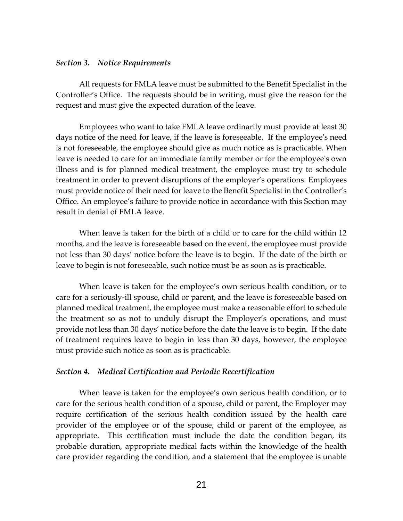#### *Section 3. Notice Requirements*

All requests for FMLA leave must be submitted to the Benefit Specialist in the Controller's Office. The requests should be in writing, must give the reason for the request and must give the expected duration of the leave.

Employees who want to take FMLA leave ordinarily must provide at least 30 days notice of the need for leave, if the leave is foreseeable. If the employee's need is not foreseeable, the employee should give as much notice as is practicable. When leave is needed to care for an immediate family member or for the employee's own illness and is for planned medical treatment, the employee must try to schedule treatment in order to prevent disruptions of the employer's operations. Employees must provide notice of their need for leave to the Benefit Specialist in the Controller's Office. An employee's failure to provide notice in accordance with this Section may result in denial of FMLA leave.

When leave is taken for the birth of a child or to care for the child within 12 months, and the leave is foreseeable based on the event, the employee must provide not less than 30 days' notice before the leave is to begin. If the date of the birth or leave to begin is not foreseeable, such notice must be as soon as is practicable.

When leave is taken for the employee's own serious health condition, or to care for a seriously-ill spouse, child or parent, and the leave is foreseeable based on planned medical treatment, the employee must make a reasonable effort to schedule the treatment so as not to unduly disrupt the Employer's operations, and must provide not less than 30 days' notice before the date the leave is to begin. If the date of treatment requires leave to begin in less than 30 days, however, the employee must provide such notice as soon as is practicable.

#### *Section 4. Medical Certification and Periodic Recertification*

When leave is taken for the employee's own serious health condition, or to care for the serious health condition of a spouse, child or parent, the Employer may require certification of the serious health condition issued by the health care provider of the employee or of the spouse, child or parent of the employee, as appropriate. This certification must include the date the condition began, its probable duration, appropriate medical facts within the knowledge of the health care provider regarding the condition, and a statement that the employee is unable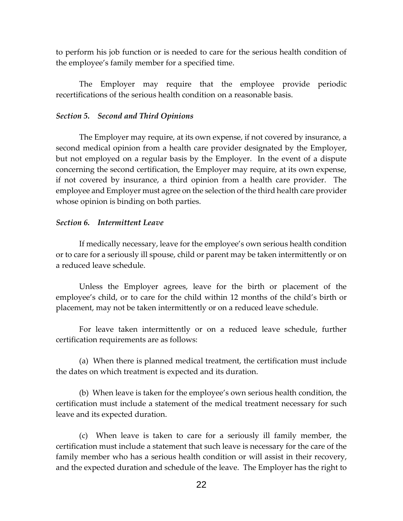to perform his job function or is needed to care for the serious health condition of the employee's family member for a specified time.

The Employer may require that the employee provide periodic recertifications of the serious health condition on a reasonable basis.

## *Section 5. Second and Third Opinions*

The Employer may require, at its own expense, if not covered by insurance, a second medical opinion from a health care provider designated by the Employer, but not employed on a regular basis by the Employer. In the event of a dispute concerning the second certification, the Employer may require, at its own expense, if not covered by insurance, a third opinion from a health care provider. The employee and Employer must agree on the selection of the third health care provider whose opinion is binding on both parties.

## *Section 6. Intermittent Leave*

If medically necessary, leave for the employee's own serious health condition or to care for a seriously ill spouse, child or parent may be taken intermittently or on a reduced leave schedule.

Unless the Employer agrees, leave for the birth or placement of the employee's child, or to care for the child within 12 months of the child's birth or placement, may not be taken intermittently or on a reduced leave schedule.

For leave taken intermittently or on a reduced leave schedule, further certification requirements are as follows:

(a) When there is planned medical treatment, the certification must include the dates on which treatment is expected and its duration.

(b) When leave is taken for the employee's own serious health condition, the certification must include a statement of the medical treatment necessary for such leave and its expected duration.

(c) When leave is taken to care for a seriously ill family member, the certification must include a statement that such leave is necessary for the care of the family member who has a serious health condition or will assist in their recovery, and the expected duration and schedule of the leave. The Employer has the right to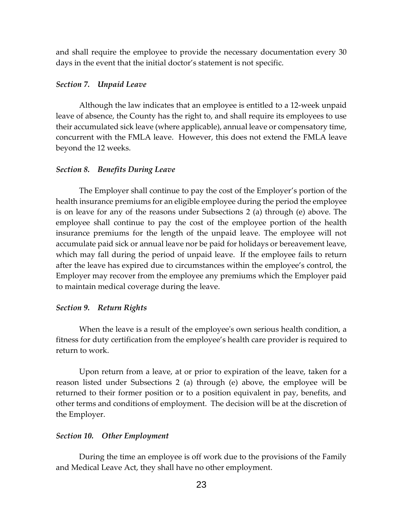and shall require the employee to provide the necessary documentation every 30 days in the event that the initial doctor's statement is not specific.

## *Section 7. Unpaid Leave*

Although the law indicates that an employee is entitled to a 12-week unpaid leave of absence, the County has the right to, and shall require its employees to use their accumulated sick leave (where applicable), annual leave or compensatory time, concurrent with the FMLA leave. However, this does not extend the FMLA leave beyond the 12 weeks.

#### *Section 8. Benefits During Leave*

The Employer shall continue to pay the cost of the Employer's portion of the health insurance premiums for an eligible employee during the period the employee is on leave for any of the reasons under Subsections 2 (a) through (e) above. The employee shall continue to pay the cost of the employee portion of the health insurance premiums for the length of the unpaid leave. The employee will not accumulate paid sick or annual leave nor be paid for holidays or bereavement leave, which may fall during the period of unpaid leave. If the employee fails to return after the leave has expired due to circumstances within the employee's control, the Employer may recover from the employee any premiums which the Employer paid to maintain medical coverage during the leave.

#### *Section 9. Return Rights*

When the leave is a result of the employee's own serious health condition, a fitness for duty certification from the employee's health care provider is required to return to work.

Upon return from a leave, at or prior to expiration of the leave, taken for a reason listed under Subsections 2 (a) through (e) above, the employee will be returned to their former position or to a position equivalent in pay, benefits, and other terms and conditions of employment. The decision will be at the discretion of the Employer.

#### *Section 10. Other Employment*

During the time an employee is off work due to the provisions of the Family and Medical Leave Act, they shall have no other employment.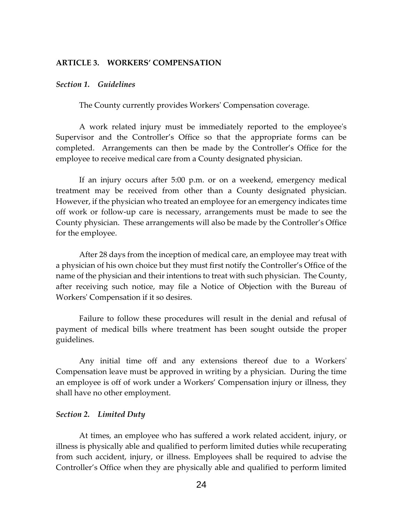## **ARTICLE 3. WORKERS' COMPENSATION**

### *Section 1. Guidelines*

The County currently provides Workers' Compensation coverage.

A work related injury must be immediately reported to the employee's Supervisor and the Controller's Office so that the appropriate forms can be completed. Arrangements can then be made by the Controller's Office for the employee to receive medical care from a County designated physician.

If an injury occurs after 5:00 p.m. or on a weekend, emergency medical treatment may be received from other than a County designated physician. However, if the physician who treated an employee for an emergency indicates time off work or follow-up care is necessary, arrangements must be made to see the County physician. These arrangements will also be made by the Controller's Office for the employee.

After 28 days from the inception of medical care, an employee may treat with a physician of his own choice but they must first notify the Controller's Office of the name of the physician and their intentions to treat with such physician. The County, after receiving such notice, may file a Notice of Objection with the Bureau of Workers' Compensation if it so desires.

Failure to follow these procedures will result in the denial and refusal of payment of medical bills where treatment has been sought outside the proper guidelines.

Any initial time off and any extensions thereof due to a Workers' Compensation leave must be approved in writing by a physician. During the time an employee is off of work under a Workers' Compensation injury or illness, they shall have no other employment.

#### *Section 2. Limited Duty*

At times, an employee who has suffered a work related accident, injury, or illness is physically able and qualified to perform limited duties while recuperating from such accident, injury, or illness. Employees shall be required to advise the Controller's Office when they are physically able and qualified to perform limited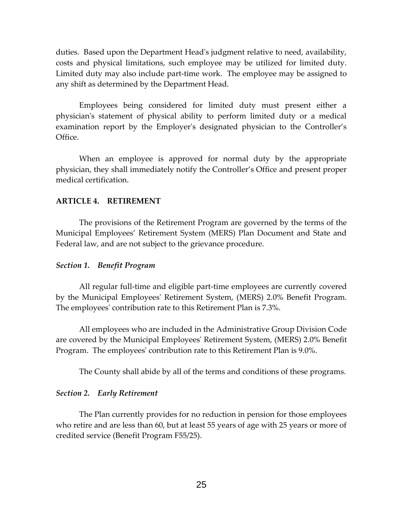duties. Based upon the Department Head's judgment relative to need, availability, costs and physical limitations, such employee may be utilized for limited duty. Limited duty may also include part-time work. The employee may be assigned to any shift as determined by the Department Head.

Employees being considered for limited duty must present either a physician's statement of physical ability to perform limited duty or a medical examination report by the Employer's designated physician to the Controller's Office.

When an employee is approved for normal duty by the appropriate physician, they shall immediately notify the Controller's Office and present proper medical certification.

## **ARTICLE 4. RETIREMENT**

The provisions of the Retirement Program are governed by the terms of the Municipal Employees' Retirement System (MERS) Plan Document and State and Federal law, and are not subject to the grievance procedure.

## *Section 1. Benefit Program*

All regular full-time and eligible part-time employees are currently covered by the Municipal Employees' Retirement System, (MERS) 2.0% Benefit Program. The employees' contribution rate to this Retirement Plan is 7.3%.

All employees who are included in the Administrative Group Division Code are covered by the Municipal Employees' Retirement System, (MERS) 2.0% Benefit Program. The employees' contribution rate to this Retirement Plan is 9.0%.

The County shall abide by all of the terms and conditions of these programs.

#### *Section 2. Early Retirement*

The Plan currently provides for no reduction in pension for those employees who retire and are less than 60, but at least 55 years of age with 25 years or more of credited service (Benefit Program F55/25).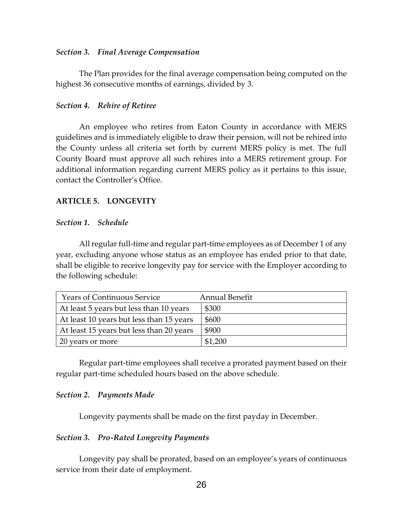## *Section 3. Final Average Compensation*

The Plan provides for the final average compensation being computed on the highest 36 consecutive months of earnings, divided by 3.

## *Section 4. Rehire of Retiree*

An employee who retires from Eaton County in accordance with MERS guidelines and is immediately eligible to draw their pension, will not be rehired into the County unless all criteria set forth by current MERS policy is met. The full County Board must approve all such rehires into a MERS retirement group. For additional information regarding current MERS policy as it pertains to this issue, contact the Controller's Office.

## **ARTICLE 5. LONGEVITY**

#### *Section 1. Schedule*

All regular full-time and regular part-time employees as of December 1 of any year, excluding anyone whose status as an employee has ended prior to that date, shall be eligible to receive longevity pay for service with the Employer according to the following schedule:

| <b>Years of Continuous Service</b>       | Annual Benefit |
|------------------------------------------|----------------|
| At least 5 years but less than 10 years  | \$300          |
| At least 10 years but less than 15 years | \$600          |
| At least 15 years but less than 20 years | \$900          |
| 20 years or more                         | \$1,200        |

Regular part-time employees shall receive a prorated payment based on their regular part-time scheduled hours based on the above schedule.

#### *Section 2. Payments Made*

Longevity payments shall be made on the first payday in December.

## *Section 3. Pro-Rated Longevity Payments*

Longevity pay shall be prorated, based on an employee's years of continuous service from their date of employment.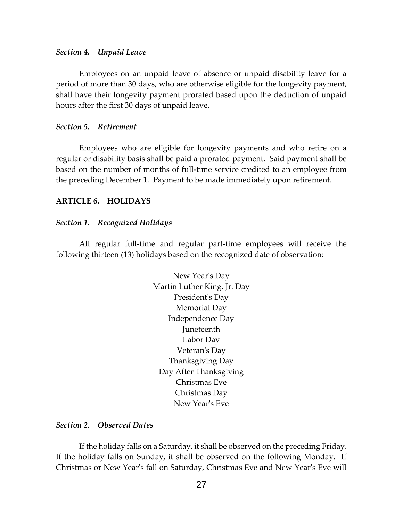#### *Section 4. Unpaid Leave*

Employees on an unpaid leave of absence or unpaid disability leave for a period of more than 30 days, who are otherwise eligible for the longevity payment, shall have their longevity payment prorated based upon the deduction of unpaid hours after the first 30 days of unpaid leave.

#### *Section 5. Retirement*

Employees who are eligible for longevity payments and who retire on a regular or disability basis shall be paid a prorated payment. Said payment shall be based on the number of months of full-time service credited to an employee from the preceding December 1. Payment to be made immediately upon retirement.

## **ARTICLE 6. HOLIDAYS**

#### *Section 1. Recognized Holidays*

All regular full-time and regular part-time employees will receive the following thirteen (13) holidays based on the recognized date of observation:

> New Year's Day Martin Luther King, Jr. Day President's Day Memorial Day Independence Day Juneteenth Labor Day Veteran's Day Thanksgiving Day Day After Thanksgiving Christmas Eve Christmas Day New Year's Eve

### *Section 2. Observed Dates*

If the holiday falls on a Saturday, it shall be observed on the preceding Friday. If the holiday falls on Sunday, it shall be observed on the following Monday. If Christmas or New Year's fall on Saturday, Christmas Eve and New Year's Eve will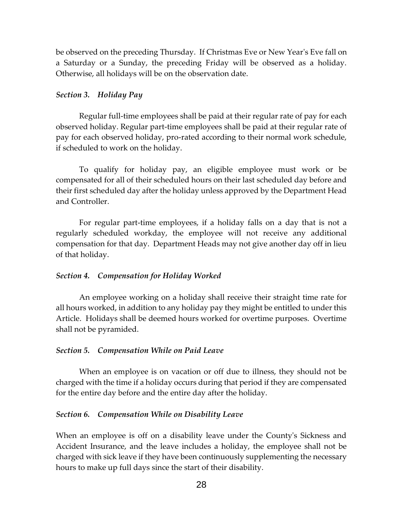be observed on the preceding Thursday. If Christmas Eve or New Year's Eve fall on a Saturday or a Sunday, the preceding Friday will be observed as a holiday. Otherwise, all holidays will be on the observation date.

## *Section 3. Holiday Pay*

Regular full-time employees shall be paid at their regular rate of pay for each observed holiday. Regular part-time employees shall be paid at their regular rate of pay for each observed holiday, pro-rated according to their normal work schedule, if scheduled to work on the holiday.

To qualify for holiday pay, an eligible employee must work or be compensated for all of their scheduled hours on their last scheduled day before and their first scheduled day after the holiday unless approved by the Department Head and Controller.

For regular part-time employees, if a holiday falls on a day that is not a regularly scheduled workday, the employee will not receive any additional compensation for that day. Department Heads may not give another day off in lieu of that holiday.

#### *Section 4. Compensation for Holiday Worked*

An employee working on a holiday shall receive their straight time rate for all hours worked, in addition to any holiday pay they might be entitled to under this Article. Holidays shall be deemed hours worked for overtime purposes. Overtime shall not be pyramided.

#### *Section 5. Compensation While on Paid Leave*

When an employee is on vacation or off due to illness, they should not be charged with the time if a holiday occurs during that period if they are compensated for the entire day before and the entire day after the holiday.

#### *Section 6. Compensation While on Disability Leave*

When an employee is off on a disability leave under the County's Sickness and Accident Insurance, and the leave includes a holiday, the employee shall not be charged with sick leave if they have been continuously supplementing the necessary hours to make up full days since the start of their disability.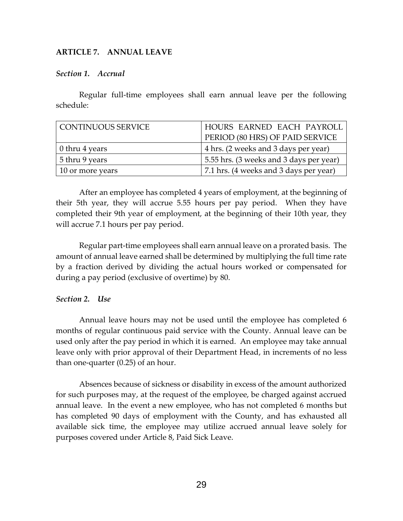## **ARTICLE 7. ANNUAL LEAVE**

## *Section 1. Accrual*

Regular full-time employees shall earn annual leave per the following schedule:

| CONTINUOUS SERVICE     | HOURS EARNED EACH PAYROLL               |
|------------------------|-----------------------------------------|
|                        | PERIOD (80 HRS) OF PAID SERVICE         |
| $\vert$ 0 thru 4 years | 4 hrs. (2 weeks and 3 days per year)    |
| $\vert$ 5 thru 9 years | 5.55 hrs. (3 weeks and 3 days per year) |
| 10 or more years       | 7.1 hrs. (4 weeks and 3 days per year)  |

After an employee has completed 4 years of employment, at the beginning of their 5th year, they will accrue 5.55 hours per pay period. When they have completed their 9th year of employment, at the beginning of their 10th year, they will accrue 7.1 hours per pay period.

Regular part-time employees shall earn annual leave on a prorated basis. The amount of annual leave earned shall be determined by multiplying the full time rate by a fraction derived by dividing the actual hours worked or compensated for during a pay period (exclusive of overtime) by 80.

#### *Section 2. Use*

Annual leave hours may not be used until the employee has completed 6 months of regular continuous paid service with the County. Annual leave can be used only after the pay period in which it is earned. An employee may take annual leave only with prior approval of their Department Head, in increments of no less than one-quarter (0.25) of an hour.

Absences because of sickness or disability in excess of the amount authorized for such purposes may, at the request of the employee, be charged against accrued annual leave. In the event a new employee, who has not completed 6 months but has completed 90 days of employment with the County, and has exhausted all available sick time, the employee may utilize accrued annual leave solely for purposes covered under Article 8, Paid Sick Leave.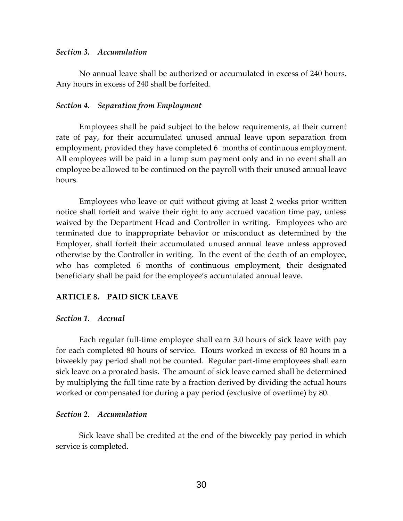#### *Section 3. Accumulation*

No annual leave shall be authorized or accumulated in excess of 240 hours. Any hours in excess of 240 shall be forfeited.

#### *Section 4. Separation from Employment*

Employees shall be paid subject to the below requirements, at their current rate of pay, for their accumulated unused annual leave upon separation from employment, provided they have completed 6 months of continuous employment. All employees will be paid in a lump sum payment only and in no event shall an employee be allowed to be continued on the payroll with their unused annual leave hours.

Employees who leave or quit without giving at least 2 weeks prior written notice shall forfeit and waive their right to any accrued vacation time pay, unless waived by the Department Head and Controller in writing. Employees who are terminated due to inappropriate behavior or misconduct as determined by the Employer, shall forfeit their accumulated unused annual leave unless approved otherwise by the Controller in writing. In the event of the death of an employee, who has completed 6 months of continuous employment, their designated beneficiary shall be paid for the employee's accumulated annual leave.

## **ARTICLE 8. PAID SICK LEAVE**

#### *Section 1. Accrual*

Each regular full-time employee shall earn 3.0 hours of sick leave with pay for each completed 80 hours of service. Hours worked in excess of 80 hours in a biweekly pay period shall not be counted. Regular part-time employees shall earn sick leave on a prorated basis. The amount of sick leave earned shall be determined by multiplying the full time rate by a fraction derived by dividing the actual hours worked or compensated for during a pay period (exclusive of overtime) by 80.

#### *Section 2. Accumulation*

Sick leave shall be credited at the end of the biweekly pay period in which service is completed.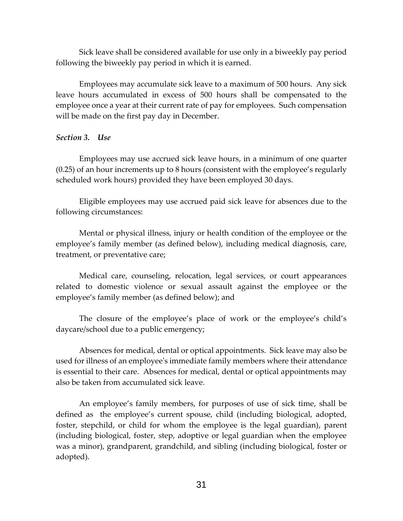Sick leave shall be considered available for use only in a biweekly pay period following the biweekly pay period in which it is earned.

Employees may accumulate sick leave to a maximum of 500 hours. Any sick leave hours accumulated in excess of 500 hours shall be compensated to the employee once a year at their current rate of pay for employees. Such compensation will be made on the first pay day in December.

## *Section 3. Use*

Employees may use accrued sick leave hours, in a minimum of one quarter (0.25) of an hour increments up to 8 hours (consistent with the employee's regularly scheduled work hours) provided they have been employed 30 days.

Eligible employees may use accrued paid sick leave for absences due to the following circumstances:

Mental or physical illness, injury or health condition of the employee or the employee's family member (as defined below), including medical diagnosis, care, treatment, or preventative care;

Medical care, counseling, relocation, legal services, or court appearances related to domestic violence or sexual assault against the employee or the employee's family member (as defined below); and

The closure of the employee's place of work or the employee's child's daycare/school due to a public emergency;

Absences for medical, dental or optical appointments. Sick leave may also be used for illness of an employee's immediate family members where their attendance is essential to their care. Absences for medical, dental or optical appointments may also be taken from accumulated sick leave.

An employee's family members, for purposes of use of sick time, shall be defined as the employee's current spouse, child (including biological, adopted, foster, stepchild, or child for whom the employee is the legal guardian), parent (including biological, foster, step, adoptive or legal guardian when the employee was a minor), grandparent, grandchild, and sibling (including biological, foster or adopted).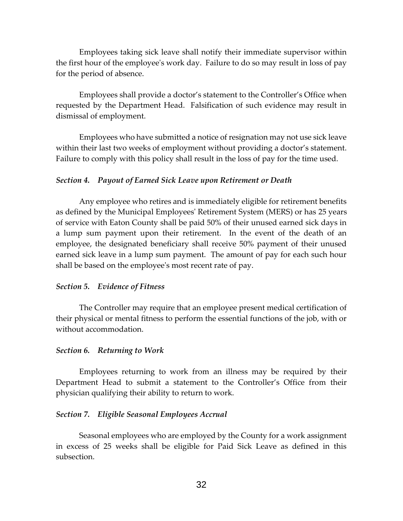Employees taking sick leave shall notify their immediate supervisor within the first hour of the employee's work day. Failure to do so may result in loss of pay for the period of absence.

Employees shall provide a doctor's statement to the Controller's Office when requested by the Department Head. Falsification of such evidence may result in dismissal of employment.

Employees who have submitted a notice of resignation may not use sick leave within their last two weeks of employment without providing a doctor's statement. Failure to comply with this policy shall result in the loss of pay for the time used.

## *Section 4. Payout of Earned Sick Leave upon Retirement or Death*

Any employee who retires and is immediately eligible for retirement benefits as defined by the Municipal Employees' Retirement System (MERS) or has 25 years of service with Eaton County shall be paid 50% of their unused earned sick days in a lump sum payment upon their retirement. In the event of the death of an employee, the designated beneficiary shall receive 50% payment of their unused earned sick leave in a lump sum payment. The amount of pay for each such hour shall be based on the employee's most recent rate of pay.

#### *Section 5. Evidence of Fitness*

The Controller may require that an employee present medical certification of their physical or mental fitness to perform the essential functions of the job, with or without accommodation.

#### *Section 6. Returning to Work*

Employees returning to work from an illness may be required by their Department Head to submit a statement to the Controller's Office from their physician qualifying their ability to return to work.

#### *Section 7. Eligible Seasonal Employees Accrual*

Seasonal employees who are employed by the County for a work assignment in excess of 25 weeks shall be eligible for Paid Sick Leave as defined in this subsection.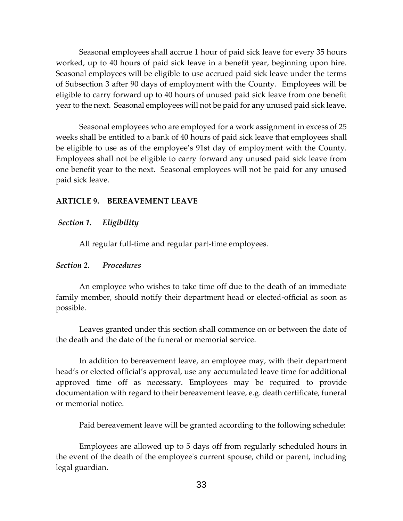Seasonal employees shall accrue 1 hour of paid sick leave for every 35 hours worked, up to 40 hours of paid sick leave in a benefit year, beginning upon hire. Seasonal employees will be eligible to use accrued paid sick leave under the terms of Subsection 3 after 90 days of employment with the County. Employees will be eligible to carry forward up to 40 hours of unused paid sick leave from one benefit year to the next. Seasonal employees will not be paid for any unused paid sick leave.

Seasonal employees who are employed for a work assignment in excess of 25 weeks shall be entitled to a bank of 40 hours of paid sick leave that employees shall be eligible to use as of the employee's 91st day of employment with the County. Employees shall not be eligible to carry forward any unused paid sick leave from one benefit year to the next. Seasonal employees will not be paid for any unused paid sick leave.

## **ARTICLE 9. BEREAVEMENT LEAVE**

#### *Section 1. Eligibility*

All regular full-time and regular part-time employees.

#### *Section 2. Procedures*

An employee who wishes to take time off due to the death of an immediate family member, should notify their department head or elected-official as soon as possible.

Leaves granted under this section shall commence on or between the date of the death and the date of the funeral or memorial service.

In addition to bereavement leave, an employee may, with their department head's or elected official's approval, use any accumulated leave time for additional approved time off as necessary. Employees may be required to provide documentation with regard to their bereavement leave, e.g. death certificate, funeral or memorial notice.

Paid bereavement leave will be granted according to the following schedule:

Employees are allowed up to 5 days off from regularly scheduled hours in the event of the death of the employee's current spouse, child or parent, including legal guardian.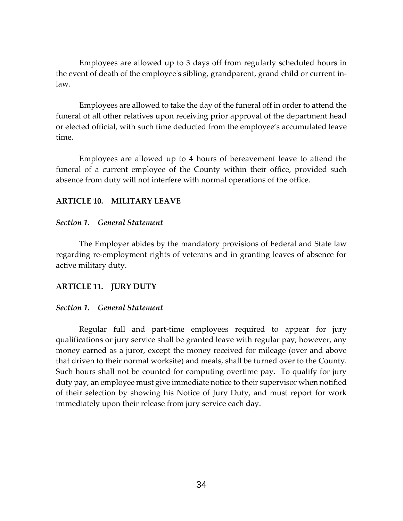Employees are allowed up to 3 days off from regularly scheduled hours in the event of death of the employee's sibling, grandparent, grand child or current inlaw.

Employees are allowed to take the day of the funeral off in order to attend the funeral of all other relatives upon receiving prior approval of the department head or elected official, with such time deducted from the employee's accumulated leave time.

Employees are allowed up to 4 hours of bereavement leave to attend the funeral of a current employee of the County within their office, provided such absence from duty will not interfere with normal operations of the office.

## **ARTICLE 10. MILITARY LEAVE**

## *Section 1. General Statement*

The Employer abides by the mandatory provisions of Federal and State law regarding re-employment rights of veterans and in granting leaves of absence for active military duty.

## **ARTICLE 11. JURY DUTY**

#### *Section 1. General Statement*

Regular full and part-time employees required to appear for jury qualifications or jury service shall be granted leave with regular pay; however, any money earned as a juror, except the money received for mileage (over and above that driven to their normal worksite) and meals, shall be turned over to the County. Such hours shall not be counted for computing overtime pay. To qualify for jury duty pay, an employee must give immediate notice to their supervisor when notified of their selection by showing his Notice of Jury Duty, and must report for work immediately upon their release from jury service each day.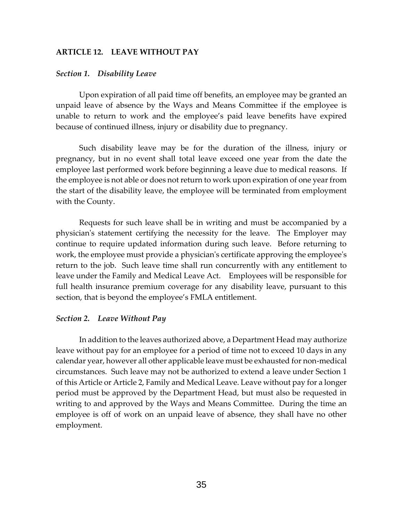## **ARTICLE 12. LEAVE WITHOUT PAY**

#### *Section 1. Disability Leave*

Upon expiration of all paid time off benefits, an employee may be granted an unpaid leave of absence by the Ways and Means Committee if the employee is unable to return to work and the employee's paid leave benefits have expired because of continued illness, injury or disability due to pregnancy.

Such disability leave may be for the duration of the illness, injury or pregnancy, but in no event shall total leave exceed one year from the date the employee last performed work before beginning a leave due to medical reasons. If the employee is not able or does not return to work upon expiration of one year from the start of the disability leave, the employee will be terminated from employment with the County.

Requests for such leave shall be in writing and must be accompanied by a physician's statement certifying the necessity for the leave. The Employer may continue to require updated information during such leave. Before returning to work, the employee must provide a physician's certificate approving the employee's return to the job. Such leave time shall run concurrently with any entitlement to leave under the Family and Medical Leave Act. Employees will be responsible for full health insurance premium coverage for any disability leave, pursuant to this section, that is beyond the employee's FMLA entitlement.

#### *Section 2. Leave Without Pay*

In addition to the leaves authorized above, a Department Head may authorize leave without pay for an employee for a period of time not to exceed 10 days in any calendar year, however all other applicable leave must be exhausted for non-medical circumstances. Such leave may not be authorized to extend a leave under Section 1 of this Article or Article 2, Family and Medical Leave. Leave without pay for a longer period must be approved by the Department Head, but must also be requested in writing to and approved by the Ways and Means Committee. During the time an employee is off of work on an unpaid leave of absence, they shall have no other employment.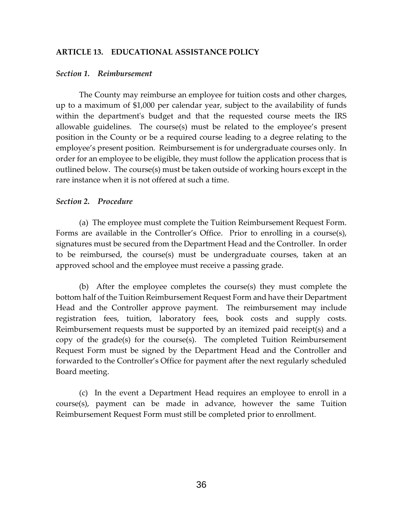## **ARTICLE 13. EDUCATIONAL ASSISTANCE POLICY**

#### *Section 1. Reimbursement*

The County may reimburse an employee for tuition costs and other charges, up to a maximum of \$1,000 per calendar year, subject to the availability of funds within the department's budget and that the requested course meets the IRS allowable guidelines. The course(s) must be related to the employee's present position in the County or be a required course leading to a degree relating to the employee's present position. Reimbursement is for undergraduate courses only. In order for an employee to be eligible, they must follow the application process that is outlined below. The course(s) must be taken outside of working hours except in the rare instance when it is not offered at such a time.

#### *Section 2. Procedure*

(a) The employee must complete the Tuition Reimbursement Request Form. Forms are available in the Controller's Office. Prior to enrolling in a course(s), signatures must be secured from the Department Head and the Controller. In order to be reimbursed, the course(s) must be undergraduate courses, taken at an approved school and the employee must receive a passing grade.

(b) After the employee completes the course(s) they must complete the bottom half of the Tuition Reimbursement Request Form and have their Department Head and the Controller approve payment. The reimbursement may include registration fees, tuition, laboratory fees, book costs and supply costs. Reimbursement requests must be supported by an itemized paid receipt(s) and a copy of the grade(s) for the course(s). The completed Tuition Reimbursement Request Form must be signed by the Department Head and the Controller and forwarded to the Controller's Office for payment after the next regularly scheduled Board meeting.

(c) In the event a Department Head requires an employee to enroll in a course(s), payment can be made in advance, however the same Tuition Reimbursement Request Form must still be completed prior to enrollment.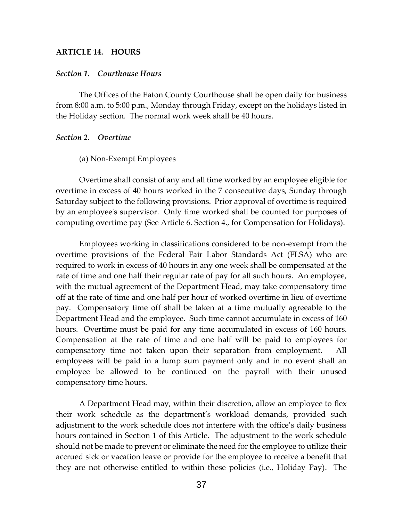## **ARTICLE 14. HOURS**

#### *Section 1. Courthouse Hours*

The Offices of the Eaton County Courthouse shall be open daily for business from 8:00 a.m. to 5:00 p.m., Monday through Friday, except on the holidays listed in the Holiday section. The normal work week shall be 40 hours.

#### *Section 2. Overtime*

#### (a) Non-Exempt Employees

Overtime shall consist of any and all time worked by an employee eligible for overtime in excess of 40 hours worked in the 7 consecutive days, Sunday through Saturday subject to the following provisions. Prior approval of overtime is required by an employee's supervisor. Only time worked shall be counted for purposes of computing overtime pay (See Article 6. Section 4., for Compensation for Holidays).

Employees working in classifications considered to be non-exempt from the overtime provisions of the Federal Fair Labor Standards Act (FLSA) who are required to work in excess of 40 hours in any one week shall be compensated at the rate of time and one half their regular rate of pay for all such hours. An employee, with the mutual agreement of the Department Head, may take compensatory time off at the rate of time and one half per hour of worked overtime in lieu of overtime pay. Compensatory time off shall be taken at a time mutually agreeable to the Department Head and the employee. Such time cannot accumulate in excess of 160 hours. Overtime must be paid for any time accumulated in excess of 160 hours. Compensation at the rate of time and one half will be paid to employees for compensatory time not taken upon their separation from employment. All employees will be paid in a lump sum payment only and in no event shall an employee be allowed to be continued on the payroll with their unused compensatory time hours.

A Department Head may, within their discretion, allow an employee to flex their work schedule as the department's workload demands, provided such adjustment to the work schedule does not interfere with the office's daily business hours contained in Section 1 of this Article. The adjustment to the work schedule should not be made to prevent or eliminate the need for the employee to utilize their accrued sick or vacation leave or provide for the employee to receive a benefit that they are not otherwise entitled to within these policies (i.e., Holiday Pay). The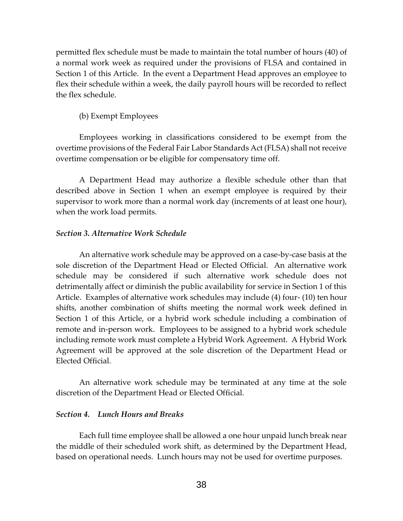permitted flex schedule must be made to maintain the total number of hours (40) of a normal work week as required under the provisions of FLSA and contained in Section 1 of this Article. In the event a Department Head approves an employee to flex their schedule within a week, the daily payroll hours will be recorded to reflect the flex schedule.

## (b) Exempt Employees

Employees working in classifications considered to be exempt from the overtime provisions of the Federal Fair Labor Standards Act (FLSA) shall not receive overtime compensation or be eligible for compensatory time off.

A Department Head may authorize a flexible schedule other than that described above in Section 1 when an exempt employee is required by their supervisor to work more than a normal work day (increments of at least one hour), when the work load permits.

#### *Section 3. Alternative Work Schedule*

An alternative work schedule may be approved on a case-by-case basis at the sole discretion of the Department Head or Elected Official. An alternative work schedule may be considered if such alternative work schedule does not detrimentally affect or diminish the public availability for service in Section 1 of this Article. Examples of alternative work schedules may include (4) four- (10) ten hour shifts, another combination of shifts meeting the normal work week defined in Section 1 of this Article, or a hybrid work schedule including a combination of remote and in-person work. Employees to be assigned to a hybrid work schedule including remote work must complete a Hybrid Work Agreement. A Hybrid Work Agreement will be approved at the sole discretion of the Department Head or Elected Official.

An alternative work schedule may be terminated at any time at the sole discretion of the Department Head or Elected Official.

#### *Section 4. Lunch Hours and Breaks*

Each full time employee shall be allowed a one hour unpaid lunch break near the middle of their scheduled work shift, as determined by the Department Head, based on operational needs. Lunch hours may not be used for overtime purposes.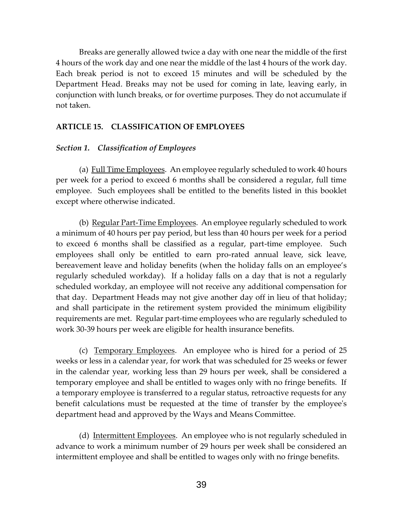Breaks are generally allowed twice a day with one near the middle of the first 4 hours of the work day and one near the middle of the last 4 hours of the work day. Each break period is not to exceed 15 minutes and will be scheduled by the Department Head. Breaks may not be used for coming in late, leaving early, in conjunction with lunch breaks, or for overtime purposes. They do not accumulate if not taken.

## **ARTICLE 15. CLASSIFICATION OF EMPLOYEES**

## *Section 1. Classification of Employees*

(a) Full Time Employees. An employee regularly scheduled to work 40 hours per week for a period to exceed 6 months shall be considered a regular, full time employee. Such employees shall be entitled to the benefits listed in this booklet except where otherwise indicated.

(b) Regular Part-Time Employees. An employee regularly scheduled to work a minimum of 40 hours per pay period, but less than 40 hours per week for a period to exceed 6 months shall be classified as a regular, part-time employee. Such employees shall only be entitled to earn pro-rated annual leave, sick leave, bereavement leave and holiday benefits (when the holiday falls on an employee's regularly scheduled workday). If a holiday falls on a day that is not a regularly scheduled workday, an employee will not receive any additional compensation for that day. Department Heads may not give another day off in lieu of that holiday; and shall participate in the retirement system provided the minimum eligibility requirements are met. Regular part-time employees who are regularly scheduled to work 30-39 hours per week are eligible for health insurance benefits.

(c) Temporary Employees. An employee who is hired for a period of 25 weeks or less in a calendar year, for work that was scheduled for 25 weeks or fewer in the calendar year, working less than 29 hours per week, shall be considered a temporary employee and shall be entitled to wages only with no fringe benefits. If a temporary employee is transferred to a regular status, retroactive requests for any benefit calculations must be requested at the time of transfer by the employee's department head and approved by the Ways and Means Committee.

(d) Intermittent Employees. An employee who is not regularly scheduled in advance to work a minimum number of 29 hours per week shall be considered an intermittent employee and shall be entitled to wages only with no fringe benefits.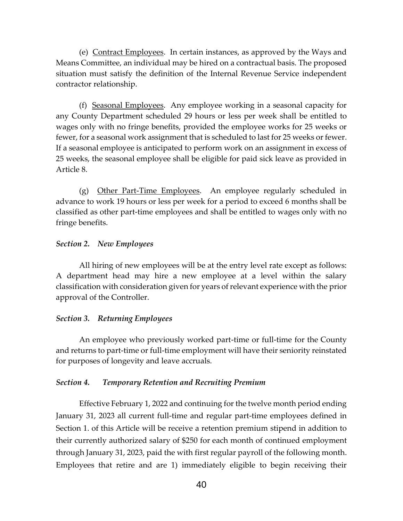(e) Contract Employees. In certain instances, as approved by the Ways and Means Committee, an individual may be hired on a contractual basis. The proposed situation must satisfy the definition of the Internal Revenue Service independent contractor relationship.

(f) Seasonal Employees. Any employee working in a seasonal capacity for any County Department scheduled 29 hours or less per week shall be entitled to wages only with no fringe benefits, provided the employee works for 25 weeks or fewer, for a seasonal work assignment that is scheduled to last for 25 weeks or fewer. If a seasonal employee is anticipated to perform work on an assignment in excess of 25 weeks, the seasonal employee shall be eligible for paid sick leave as provided in Article 8.

(g) Other Part-Time Employees. An employee regularly scheduled in advance to work 19 hours or less per week for a period to exceed 6 months shall be classified as other part-time employees and shall be entitled to wages only with no fringe benefits.

## *Section 2. New Employees*

All hiring of new employees will be at the entry level rate except as follows: A department head may hire a new employee at a level within the salary classification with consideration given for years of relevant experience with the prior approval of the Controller.

#### *Section 3. Returning Employees*

An employee who previously worked part-time or full-time for the County and returns to part-time or full-time employment will have their seniority reinstated for purposes of longevity and leave accruals.

#### *Section 4. Temporary Retention and Recruiting Premium*

Effective February 1, 2022 and continuing for the twelve month period ending January 31, 2023 all current full-time and regular part-time employees defined in Section 1. of this Article will be receive a retention premium stipend in addition to their currently authorized salary of \$250 for each month of continued employment through January 31, 2023, paid the with first regular payroll of the following month. Employees that retire and are 1) immediately eligible to begin receiving their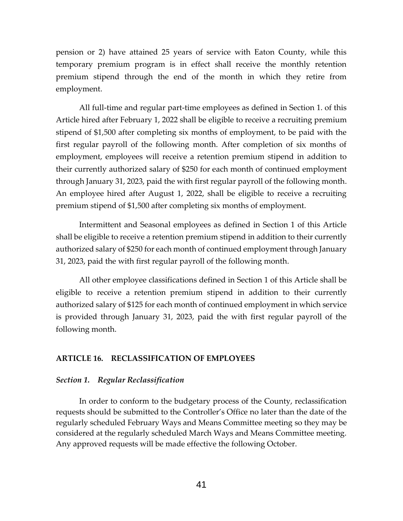pension or 2) have attained 25 years of service with Eaton County, while this temporary premium program is in effect shall receive the monthly retention premium stipend through the end of the month in which they retire from employment.

All full-time and regular part-time employees as defined in Section 1. of this Article hired after February 1, 2022 shall be eligible to receive a recruiting premium stipend of \$1,500 after completing six months of employment, to be paid with the first regular payroll of the following month. After completion of six months of employment, employees will receive a retention premium stipend in addition to their currently authorized salary of \$250 for each month of continued employment through January 31, 2023, paid the with first regular payroll of the following month. An employee hired after August 1, 2022, shall be eligible to receive a recruiting premium stipend of \$1,500 after completing six months of employment.

Intermittent and Seasonal employees as defined in Section 1 of this Article shall be eligible to receive a retention premium stipend in addition to their currently authorized salary of \$250 for each month of continued employment through January 31, 2023, paid the with first regular payroll of the following month.

All other employee classifications defined in Section 1 of this Article shall be eligible to receive a retention premium stipend in addition to their currently authorized salary of \$125 for each month of continued employment in which service is provided through January 31, 2023, paid the with first regular payroll of the following month.

## **ARTICLE 16. RECLASSIFICATION OF EMPLOYEES**

#### *Section 1. Regular Reclassification*

In order to conform to the budgetary process of the County, reclassification requests should be submitted to the Controller's Office no later than the date of the regularly scheduled February Ways and Means Committee meeting so they may be considered at the regularly scheduled March Ways and Means Committee meeting. Any approved requests will be made effective the following October.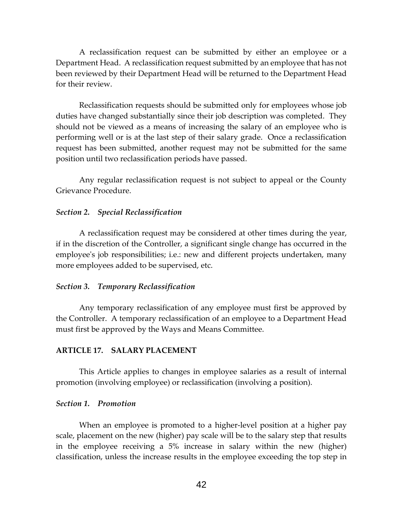A reclassification request can be submitted by either an employee or a Department Head. A reclassification request submitted by an employee that has not been reviewed by their Department Head will be returned to the Department Head for their review.

Reclassification requests should be submitted only for employees whose job duties have changed substantially since their job description was completed. They should not be viewed as a means of increasing the salary of an employee who is performing well or is at the last step of their salary grade. Once a reclassification request has been submitted, another request may not be submitted for the same position until two reclassification periods have passed.

Any regular reclassification request is not subject to appeal or the County Grievance Procedure.

#### *Section 2. Special Reclassification*

A reclassification request may be considered at other times during the year, if in the discretion of the Controller, a significant single change has occurred in the employee's job responsibilities; i.e.: new and different projects undertaken, many more employees added to be supervised, etc.

#### *Section 3. Temporary Reclassification*

Any temporary reclassification of any employee must first be approved by the Controller. A temporary reclassification of an employee to a Department Head must first be approved by the Ways and Means Committee.

#### **ARTICLE 17. SALARY PLACEMENT**

This Article applies to changes in employee salaries as a result of internal promotion (involving employee) or reclassification (involving a position).

#### *Section 1. Promotion*

When an employee is promoted to a higher-level position at a higher pay scale, placement on the new (higher) pay scale will be to the salary step that results in the employee receiving a 5% increase in salary within the new (higher) classification, unless the increase results in the employee exceeding the top step in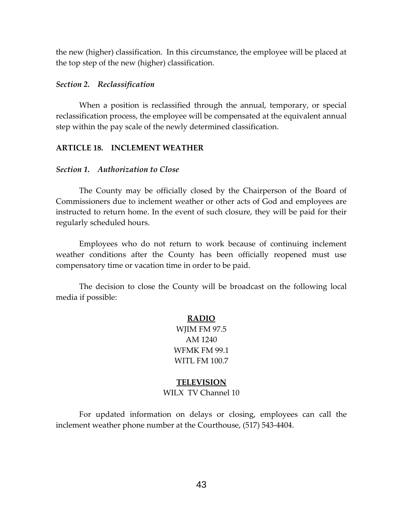the new (higher) classification. In this circumstance, the employee will be placed at the top step of the new (higher) classification.

## *Section 2. Reclassification*

When a position is reclassified through the annual, temporary, or special reclassification process, the employee will be compensated at the equivalent annual step within the pay scale of the newly determined classification.

## **ARTICLE 18. INCLEMENT WEATHER**

## *Section 1. Authorization to Close*

The County may be officially closed by the Chairperson of the Board of Commissioners due to inclement weather or other acts of God and employees are instructed to return home. In the event of such closure, they will be paid for their regularly scheduled hours.

Employees who do not return to work because of continuing inclement weather conditions after the County has been officially reopened must use compensatory time or vacation time in order to be paid.

The decision to close the County will be broadcast on the following local media if possible:

## **RADIO**

WJIM FM 97.5 AM 1240 WFMK FM 99.1 WITL FM 100.7

## **TELEVISION**

## WILX TV Channel 10

For updated information on delays or closing, employees can call the inclement weather phone number at the Courthouse, (517) 543-4404.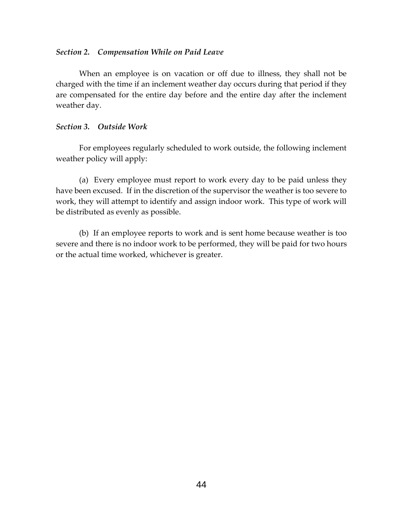## *Section 2. Compensation While on Paid Leave*

When an employee is on vacation or off due to illness, they shall not be charged with the time if an inclement weather day occurs during that period if they are compensated for the entire day before and the entire day after the inclement weather day.

## *Section 3. Outside Work*

For employees regularly scheduled to work outside, the following inclement weather policy will apply:

(a) Every employee must report to work every day to be paid unless they have been excused. If in the discretion of the supervisor the weather is too severe to work, they will attempt to identify and assign indoor work. This type of work will be distributed as evenly as possible.

(b) If an employee reports to work and is sent home because weather is too severe and there is no indoor work to be performed, they will be paid for two hours or the actual time worked, whichever is greater.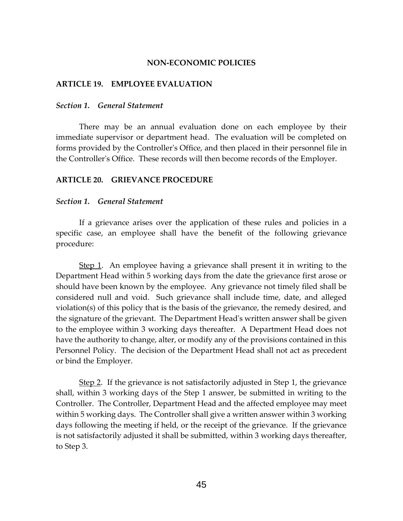#### **NON-ECONOMIC POLICIES**

#### **ARTICLE 19. EMPLOYEE EVALUATION**

## *Section 1. General Statement*

There may be an annual evaluation done on each employee by their immediate supervisor or department head. The evaluation will be completed on forms provided by the Controller's Office, and then placed in their personnel file in the Controller's Office. These records will then become records of the Employer.

#### **ARTICLE 20. GRIEVANCE PROCEDURE**

#### *Section 1. General Statement*

If a grievance arises over the application of these rules and policies in a specific case, an employee shall have the benefit of the following grievance procedure:

Step 1. An employee having a grievance shall present it in writing to the Department Head within 5 working days from the date the grievance first arose or should have been known by the employee. Any grievance not timely filed shall be considered null and void. Such grievance shall include time, date, and alleged violation(s) of this policy that is the basis of the grievance, the remedy desired, and the signature of the grievant. The Department Head's written answer shall be given to the employee within 3 working days thereafter. A Department Head does not have the authority to change, alter, or modify any of the provisions contained in this Personnel Policy. The decision of the Department Head shall not act as precedent or bind the Employer.

Step 2. If the grievance is not satisfactorily adjusted in Step 1, the grievance shall, within 3 working days of the Step 1 answer, be submitted in writing to the Controller. The Controller, Department Head and the affected employee may meet within 5 working days. The Controller shall give a written answer within 3 working days following the meeting if held, or the receipt of the grievance. If the grievance is not satisfactorily adjusted it shall be submitted, within 3 working days thereafter, to Step 3.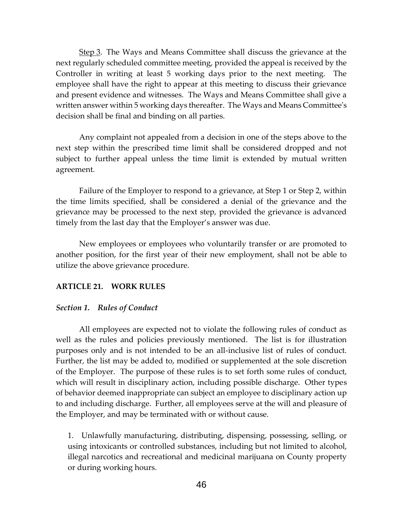Step 3. The Ways and Means Committee shall discuss the grievance at the next regularly scheduled committee meeting, provided the appeal is received by the Controller in writing at least 5 working days prior to the next meeting. The employee shall have the right to appear at this meeting to discuss their grievance and present evidence and witnesses. The Ways and Means Committee shall give a written answer within 5 working days thereafter. The Ways and Means Committee's decision shall be final and binding on all parties.

Any complaint not appealed from a decision in one of the steps above to the next step within the prescribed time limit shall be considered dropped and not subject to further appeal unless the time limit is extended by mutual written agreement.

Failure of the Employer to respond to a grievance, at Step 1 or Step 2, within the time limits specified, shall be considered a denial of the grievance and the grievance may be processed to the next step, provided the grievance is advanced timely from the last day that the Employer's answer was due.

New employees or employees who voluntarily transfer or are promoted to another position, for the first year of their new employment, shall not be able to utilize the above grievance procedure.

## **ARTICLE 21. WORK RULES**

## *Section 1. Rules of Conduct*

All employees are expected not to violate the following rules of conduct as well as the rules and policies previously mentioned. The list is for illustration purposes only and is not intended to be an all-inclusive list of rules of conduct. Further, the list may be added to, modified or supplemented at the sole discretion of the Employer. The purpose of these rules is to set forth some rules of conduct, which will result in disciplinary action, including possible discharge. Other types of behavior deemed inappropriate can subject an employee to disciplinary action up to and including discharge. Further, all employees serve at the will and pleasure of the Employer, and may be terminated with or without cause.

1. Unlawfully manufacturing, distributing, dispensing, possessing, selling, or using intoxicants or controlled substances, including but not limited to alcohol, illegal narcotics and recreational and medicinal marijuana on County property or during working hours.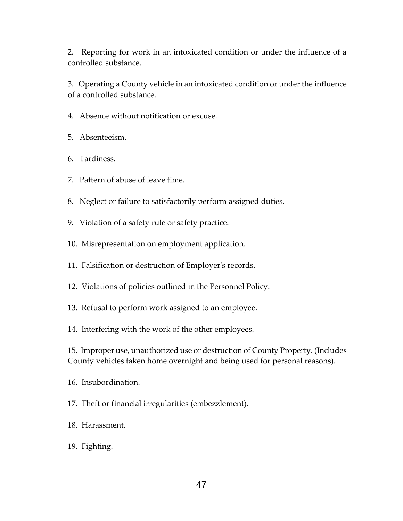2. Reporting for work in an intoxicated condition or under the influence of a controlled substance.

3. Operating a County vehicle in an intoxicated condition or under the influence of a controlled substance.

- 4. Absence without notification or excuse.
- 5. Absenteeism.
- 6. Tardiness.
- 7. Pattern of abuse of leave time.
- 8. Neglect or failure to satisfactorily perform assigned duties.
- 9. Violation of a safety rule or safety practice.
- 10. Misrepresentation on employment application.
- 11. Falsification or destruction of Employer's records.
- 12. Violations of policies outlined in the Personnel Policy.
- 13. Refusal to perform work assigned to an employee.
- 14. Interfering with the work of the other employees.

15. Improper use, unauthorized use or destruction of County Property. (Includes County vehicles taken home overnight and being used for personal reasons).

- 16. Insubordination.
- 17. Theft or financial irregularities (embezzlement).
- 18. Harassment.
- 19. Fighting.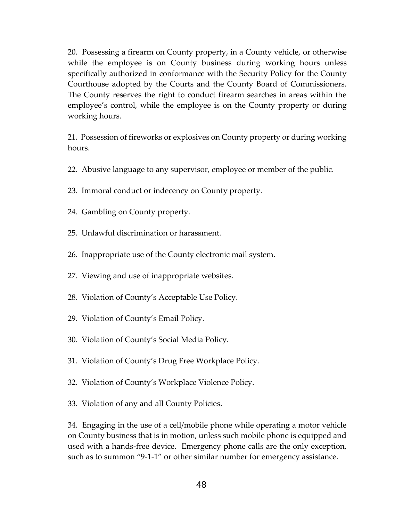20. Possessing a firearm on County property, in a County vehicle, or otherwise while the employee is on County business during working hours unless specifically authorized in conformance with the Security Policy for the County Courthouse adopted by the Courts and the County Board of Commissioners. The County reserves the right to conduct firearm searches in areas within the employee's control, while the employee is on the County property or during working hours.

21. Possession of fireworks or explosives on County property or during working hours.

- 22. Abusive language to any supervisor, employee or member of the public.
- 23. Immoral conduct or indecency on County property.
- 24. Gambling on County property.
- 25. Unlawful discrimination or harassment.
- 26. Inappropriate use of the County electronic mail system.
- 27. Viewing and use of inappropriate websites.
- 28. Violation of County's Acceptable Use Policy.
- 29. Violation of County's Email Policy.
- 30. Violation of County's Social Media Policy.
- 31. Violation of County's Drug Free Workplace Policy.
- 32. Violation of County's Workplace Violence Policy.
- 33. Violation of any and all County Policies.

34. Engaging in the use of a cell/mobile phone while operating a motor vehicle on County business that is in motion, unless such mobile phone is equipped and used with a hands-free device. Emergency phone calls are the only exception, such as to summon "9-1-1" or other similar number for emergency assistance.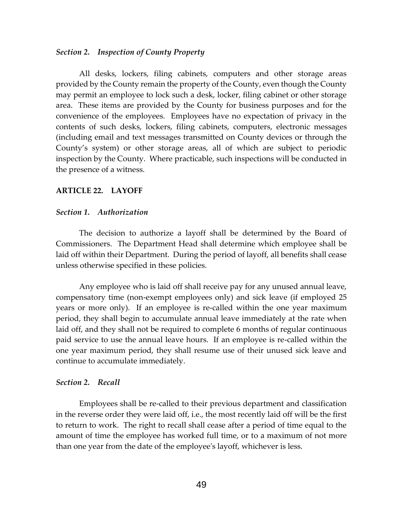#### *Section 2. Inspection of County Property*

All desks, lockers, filing cabinets, computers and other storage areas provided by the County remain the property of the County, even though the County may permit an employee to lock such a desk, locker, filing cabinet or other storage area. These items are provided by the County for business purposes and for the convenience of the employees. Employees have no expectation of privacy in the contents of such desks, lockers, filing cabinets, computers, electronic messages (including email and text messages transmitted on County devices or through the County's system) or other storage areas, all of which are subject to periodic inspection by the County. Where practicable, such inspections will be conducted in the presence of a witness.

## **ARTICLE 22. LAYOFF**

#### *Section 1. Authorization*

The decision to authorize a layoff shall be determined by the Board of Commissioners. The Department Head shall determine which employee shall be laid off within their Department. During the period of layoff, all benefits shall cease unless otherwise specified in these policies.

Any employee who is laid off shall receive pay for any unused annual leave, compensatory time (non-exempt employees only) and sick leave (if employed 25 years or more only). If an employee is re-called within the one year maximum period, they shall begin to accumulate annual leave immediately at the rate when laid off, and they shall not be required to complete 6 months of regular continuous paid service to use the annual leave hours. If an employee is re-called within the one year maximum period, they shall resume use of their unused sick leave and continue to accumulate immediately.

#### *Section 2. Recall*

Employees shall be re-called to their previous department and classification in the reverse order they were laid off, i.e., the most recently laid off will be the first to return to work. The right to recall shall cease after a period of time equal to the amount of time the employee has worked full time, or to a maximum of not more than one year from the date of the employee's layoff, whichever is less.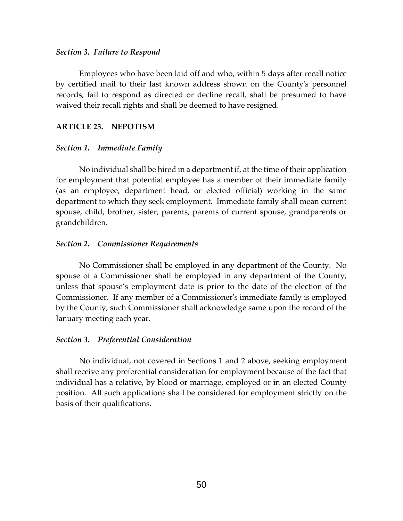#### *Section 3. Failure to Respond*

Employees who have been laid off and who, within 5 days after recall notice by certified mail to their last known address shown on the County's personnel records, fail to respond as directed or decline recall, shall be presumed to have waived their recall rights and shall be deemed to have resigned.

## **ARTICLE 23. NEPOTISM**

## *Section 1. Immediate Family*

No individual shall be hired in a department if, at the time of their application for employment that potential employee has a member of their immediate family (as an employee, department head, or elected official) working in the same department to which they seek employment. Immediate family shall mean current spouse, child, brother, sister, parents, parents of current spouse, grandparents or grandchildren.

## *Section 2. Commissioner Requirements*

No Commissioner shall be employed in any department of the County. No spouse of a Commissioner shall be employed in any department of the County, unless that spouse's employment date is prior to the date of the election of the Commissioner. If any member of a Commissioner's immediate family is employed by the County, such Commissioner shall acknowledge same upon the record of the January meeting each year.

#### *Section 3. Preferential Consideration*

No individual, not covered in Sections 1 and 2 above, seeking employment shall receive any preferential consideration for employment because of the fact that individual has a relative, by blood or marriage, employed or in an elected County position. All such applications shall be considered for employment strictly on the basis of their qualifications.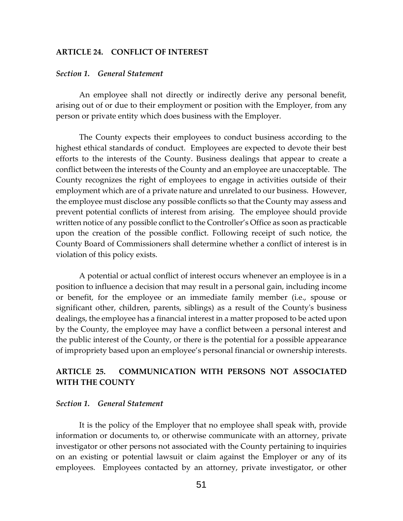## **ARTICLE 24. CONFLICT OF INTEREST**

#### *Section 1. General Statement*

An employee shall not directly or indirectly derive any personal benefit, arising out of or due to their employment or position with the Employer, from any person or private entity which does business with the Employer.

The County expects their employees to conduct business according to the highest ethical standards of conduct. Employees are expected to devote their best efforts to the interests of the County. Business dealings that appear to create a conflict between the interests of the County and an employee are unacceptable. The County recognizes the right of employees to engage in activities outside of their employment which are of a private nature and unrelated to our business. However, the employee must disclose any possible conflicts so that the County may assess and prevent potential conflicts of interest from arising. The employee should provide written notice of any possible conflict to the Controller's Office as soon as practicable upon the creation of the possible conflict. Following receipt of such notice, the County Board of Commissioners shall determine whether a conflict of interest is in violation of this policy exists.

A potential or actual conflict of interest occurs whenever an employee is in a position to influence a decision that may result in a personal gain, including income or benefit, for the employee or an immediate family member (i.e., spouse or significant other, children, parents, siblings) as a result of the County's business dealings, the employee has a financial interest in a matter proposed to be acted upon by the County, the employee may have a conflict between a personal interest and the public interest of the County, or there is the potential for a possible appearance of impropriety based upon an employee's personal financial or ownership interests.

## **ARTICLE 25. COMMUNICATION WITH PERSONS NOT ASSOCIATED WITH THE COUNTY**

## *Section 1. General Statement*

It is the policy of the Employer that no employee shall speak with, provide information or documents to, or otherwise communicate with an attorney, private investigator or other persons not associated with the County pertaining to inquiries on an existing or potential lawsuit or claim against the Employer or any of its employees. Employees contacted by an attorney, private investigator, or other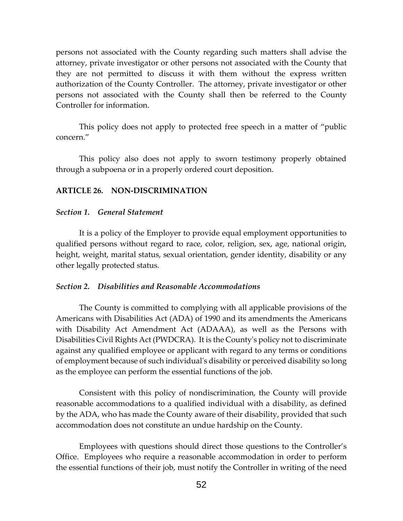persons not associated with the County regarding such matters shall advise the attorney, private investigator or other persons not associated with the County that they are not permitted to discuss it with them without the express written authorization of the County Controller. The attorney, private investigator or other persons not associated with the County shall then be referred to the County Controller for information.

This policy does not apply to protected free speech in a matter of "public concern."

This policy also does not apply to sworn testimony properly obtained through a subpoena or in a properly ordered court deposition.

## **ARTICLE 26. NON-DISCRIMINATION**

#### *Section 1. General Statement*

It is a policy of the Employer to provide equal employment opportunities to qualified persons without regard to race, color, religion, sex, age, national origin, height, weight, marital status, sexual orientation, gender identity, disability or any other legally protected status.

### *Section 2. Disabilities and Reasonable Accommodations*

The County is committed to complying with all applicable provisions of the Americans with Disabilities Act (ADA) of 1990 and its amendments the Americans with Disability Act Amendment Act (ADAAA), as well as the Persons with Disabilities Civil Rights Act (PWDCRA). It is the County's policy not to discriminate against any qualified employee or applicant with regard to any terms or conditions of employment because of such individual's disability or perceived disability so long as the employee can perform the essential functions of the job.

Consistent with this policy of nondiscrimination, the County will provide reasonable accommodations to a qualified individual with a disability, as defined by the ADA, who has made the County aware of their disability, provided that such accommodation does not constitute an undue hardship on the County.

Employees with questions should direct those questions to the Controller's Office. Employees who require a reasonable accommodation in order to perform the essential functions of their job, must notify the Controller in writing of the need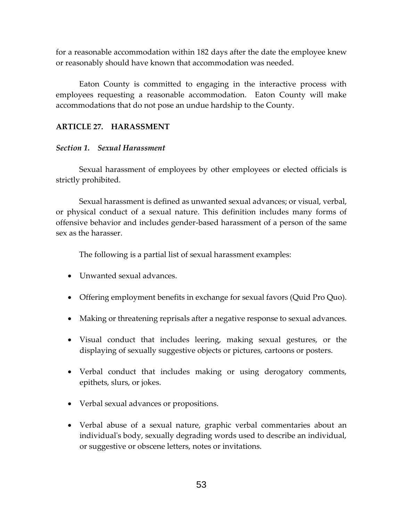for a reasonable accommodation within 182 days after the date the employee knew or reasonably should have known that accommodation was needed.

Eaton County is committed to engaging in the interactive process with employees requesting a reasonable accommodation. Eaton County will make accommodations that do not pose an undue hardship to the County.

## **ARTICLE 27. HARASSMENT**

## *Section 1. Sexual Harassment*

Sexual harassment of employees by other employees or elected officials is strictly prohibited.

Sexual harassment is defined as unwanted sexual advances; or visual, verbal, or physical conduct of a sexual nature. This definition includes many forms of offensive behavior and includes gender-based harassment of a person of the same sex as the harasser.

The following is a partial list of sexual harassment examples:

- Unwanted sexual advances.
- Offering employment benefits in exchange for sexual favors (Quid Pro Quo).
- Making or threatening reprisals after a negative response to sexual advances.
- Visual conduct that includes leering, making sexual gestures, or the displaying of sexually suggestive objects or pictures, cartoons or posters.
- Verbal conduct that includes making or using derogatory comments, epithets, slurs, or jokes.
- Verbal sexual advances or propositions.
- Verbal abuse of a sexual nature, graphic verbal commentaries about an individual's body, sexually degrading words used to describe an individual, or suggestive or obscene letters, notes or invitations.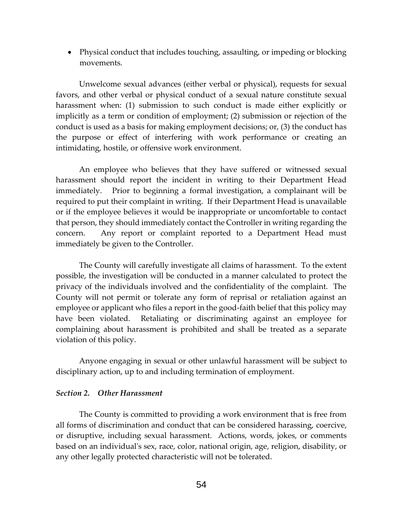Physical conduct that includes touching, assaulting, or impeding or blocking movements.

Unwelcome sexual advances (either verbal or physical), requests for sexual favors, and other verbal or physical conduct of a sexual nature constitute sexual harassment when: (1) submission to such conduct is made either explicitly or implicitly as a term or condition of employment; (2) submission or rejection of the conduct is used as a basis for making employment decisions; or, (3) the conduct has the purpose or effect of interfering with work performance or creating an intimidating, hostile, or offensive work environment.

An employee who believes that they have suffered or witnessed sexual harassment should report the incident in writing to their Department Head immediately. Prior to beginning a formal investigation, a complainant will be required to put their complaint in writing. If their Department Head is unavailable or if the employee believes it would be inappropriate or uncomfortable to contact that person, they should immediately contact the Controller in writing regarding the concern. Any report or complaint reported to a Department Head must immediately be given to the Controller.

The County will carefully investigate all claims of harassment. To the extent possible, the investigation will be conducted in a manner calculated to protect the privacy of the individuals involved and the confidentiality of the complaint. The County will not permit or tolerate any form of reprisal or retaliation against an employee or applicant who files a report in the good-faith belief that this policy may have been violated. Retaliating or discriminating against an employee for complaining about harassment is prohibited and shall be treated as a separate violation of this policy.

Anyone engaging in sexual or other unlawful harassment will be subject to disciplinary action, up to and including termination of employment.

## *Section 2. Other Harassment*

The County is committed to providing a work environment that is free from all forms of discrimination and conduct that can be considered harassing, coercive, or disruptive, including sexual harassment. Actions, words, jokes, or comments based on an individual's sex, race, color, national origin, age, religion, disability, or any other legally protected characteristic will not be tolerated.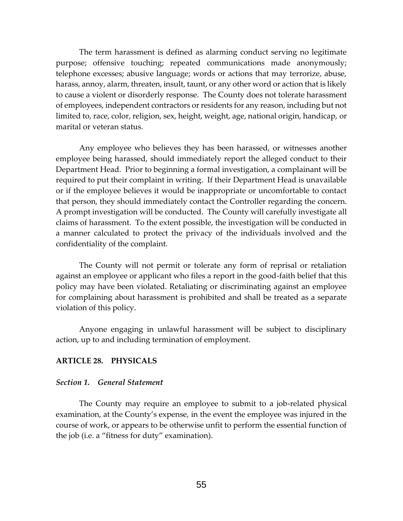The term harassment is defined as alarming conduct serving no legitimate purpose; offensive touching; repeated communications made anonymously; telephone excesses; abusive language; words or actions that may terrorize, abuse, harass, annoy, alarm, threaten, insult, taunt, or any other word or action that is likely to cause a violent or disorderly response. The County does not tolerate harassment of employees, independent contractors or residents for any reason, including but not limited to, race, color, religion, sex, height, weight, age, national origin, handicap, or marital or veteran status.

Any employee who believes they has been harassed, or witnesses another employee being harassed, should immediately report the alleged conduct to their Department Head. Prior to beginning a formal investigation, a complainant will be required to put their complaint in writing. If their Department Head is unavailable or if the employee believes it would be inappropriate or uncomfortable to contact that person, they should immediately contact the Controller regarding the concern. A prompt investigation will be conducted. The County will carefully investigate all claims of harassment. To the extent possible, the investigation will be conducted in a manner calculated to protect the privacy of the individuals involved and the confidentiality of the complaint.

The County will not permit or tolerate any form of reprisal or retaliation against an employee or applicant who files a report in the good-faith belief that this policy may have been violated. Retaliating or discriminating against an employee for complaining about harassment is prohibited and shall be treated as a separate violation of this policy.

Anyone engaging in unlawful harassment will be subject to disciplinary action, up to and including termination of employment.

## **ARTICLE 28. PHYSICALS**

#### *Section 1. General Statement*

The County may require an employee to submit to a job-related physical examination, at the County's expense, in the event the employee was injured in the course of work, or appears to be otherwise unfit to perform the essential function of the job (i.e. a "fitness for duty" examination).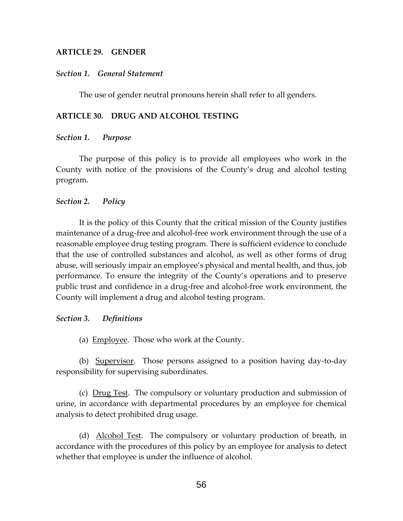## **ARTICLE 29. GENDER**

## *Section 1. General Statement*

The use of gender neutral pronouns herein shall refer to all genders.

## **ARTICLE 30. DRUG AND ALCOHOL TESTING**

## *Section 1. Purpose*

The purpose of this policy is to provide all employees who work in the County with notice of the provisions of the County's drug and alcohol testing program.

## *Section 2. Policy*

It is the policy of this County that the critical mission of the County justifies maintenance of a drug-free and alcohol-free work environment through the use of a reasonable employee drug testing program. There is sufficient evidence to conclude that the use of controlled substances and alcohol, as well as other forms of drug abuse, will seriously impair an employee's physical and mental health, and thus, job performance. To ensure the integrity of the County's operations and to preserve public trust and confidence in a drug-free and alcohol-free work environment, the County will implement a drug and alcohol testing program.

## *Section 3. Definitions*

(a) Employee. Those who work at the County.

(b) Supervisor. Those persons assigned to a position having day-to-day responsibility for supervising subordinates.

(c) Drug Test. The compulsory or voluntary production and submission of urine, in accordance with departmental procedures by an employee for chemical analysis to detect prohibited drug usage.

(d) Alcohol Test. The compulsory or voluntary production of breath, in accordance with the procedures of this policy by an employee for analysis to detect whether that employee is under the influence of alcohol.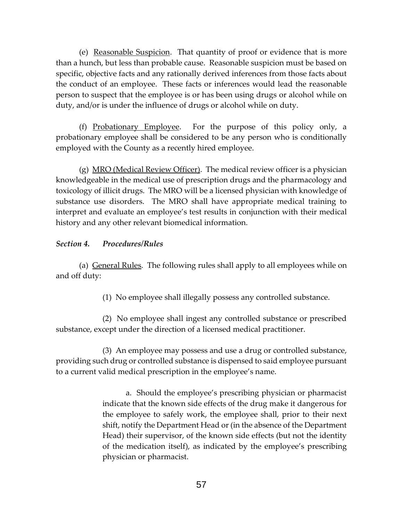(e) Reasonable Suspicion. That quantity of proof or evidence that is more than a hunch, but less than probable cause. Reasonable suspicion must be based on specific, objective facts and any rationally derived inferences from those facts about the conduct of an employee. These facts or inferences would lead the reasonable person to suspect that the employee is or has been using drugs or alcohol while on duty, and/or is under the influence of drugs or alcohol while on duty.

(f) Probationary Employee. For the purpose of this policy only, a probationary employee shall be considered to be any person who is conditionally employed with the County as a recently hired employee.

(g)  $MRO$  (Medical Review Officer). The medical review officer is a physician knowledgeable in the medical use of prescription drugs and the pharmacology and toxicology of illicit drugs. The MRO will be a licensed physician with knowledge of substance use disorders. The MRO shall have appropriate medical training to interpret and evaluate an employee's test results in conjunction with their medical history and any other relevant biomedical information.

## *Section 4. Procedures/Rules*

(a) General Rules. The following rules shall apply to all employees while on and off duty:

(1) No employee shall illegally possess any controlled substance.

(2) No employee shall ingest any controlled substance or prescribed substance, except under the direction of a licensed medical practitioner.

(3) An employee may possess and use a drug or controlled substance, providing such drug or controlled substance is dispensed to said employee pursuant to a current valid medical prescription in the employee's name.

> a. Should the employee's prescribing physician or pharmacist indicate that the known side effects of the drug make it dangerous for the employee to safely work, the employee shall, prior to their next shift, notify the Department Head or (in the absence of the Department Head) their supervisor, of the known side effects (but not the identity of the medication itself), as indicated by the employee's prescribing physician or pharmacist.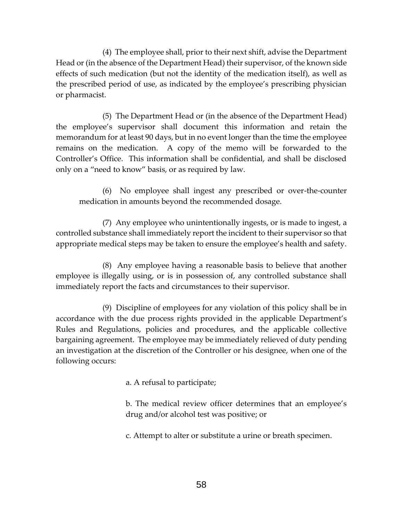(4) The employee shall, prior to their next shift, advise the Department Head or (in the absence of the Department Head) their supervisor, of the known side effects of such medication (but not the identity of the medication itself), as well as the prescribed period of use, as indicated by the employee's prescribing physician or pharmacist.

(5) The Department Head or (in the absence of the Department Head) the employee's supervisor shall document this information and retain the memorandum for at least 90 days, but in no event longer than the time the employee remains on the medication. A copy of the memo will be forwarded to the Controller's Office. This information shall be confidential, and shall be disclosed only on a "need to know" basis, or as required by law.

(6) No employee shall ingest any prescribed or over-the-counter medication in amounts beyond the recommended dosage.

(7) Any employee who unintentionally ingests, or is made to ingest, a controlled substance shall immediately report the incident to their supervisor so that appropriate medical steps may be taken to ensure the employee's health and safety.

(8) Any employee having a reasonable basis to believe that another employee is illegally using, or is in possession of, any controlled substance shall immediately report the facts and circumstances to their supervisor.

(9) Discipline of employees for any violation of this policy shall be in accordance with the due process rights provided in the applicable Department's Rules and Regulations, policies and procedures, and the applicable collective bargaining agreement. The employee may be immediately relieved of duty pending an investigation at the discretion of the Controller or his designee, when one of the following occurs:

a. A refusal to participate;

b. The medical review officer determines that an employee's drug and/or alcohol test was positive; or

c. Attempt to alter or substitute a urine or breath specimen.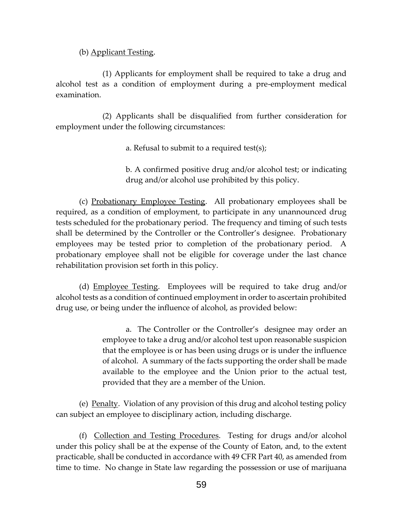(b) Applicant Testing.

(1) Applicants for employment shall be required to take a drug and alcohol test as a condition of employment during a pre-employment medical examination.

(2) Applicants shall be disqualified from further consideration for employment under the following circumstances:

a. Refusal to submit to a required test(s);

b. A confirmed positive drug and/or alcohol test; or indicating drug and/or alcohol use prohibited by this policy.

(c) Probationary Employee Testing. All probationary employees shall be required, as a condition of employment, to participate in any unannounced drug tests scheduled for the probationary period. The frequency and timing of such tests shall be determined by the Controller or the Controller's designee. Probationary employees may be tested prior to completion of the probationary period. A probationary employee shall not be eligible for coverage under the last chance rehabilitation provision set forth in this policy.

(d) Employee Testing. Employees will be required to take drug and/or alcohol tests as a condition of continued employment in order to ascertain prohibited drug use, or being under the influence of alcohol, as provided below:

> a. The Controller or the Controller's designee may order an employee to take a drug and/or alcohol test upon reasonable suspicion that the employee is or has been using drugs or is under the influence of alcohol. A summary of the facts supporting the order shall be made available to the employee and the Union prior to the actual test, provided that they are a member of the Union.

(e) Penalty. Violation of any provision of this drug and alcohol testing policy can subject an employee to disciplinary action, including discharge.

(f) Collection and Testing Procedures. Testing for drugs and/or alcohol under this policy shall be at the expense of the County of Eaton, and, to the extent practicable, shall be conducted in accordance with 49 CFR Part 40, as amended from time to time. No change in State law regarding the possession or use of marijuana